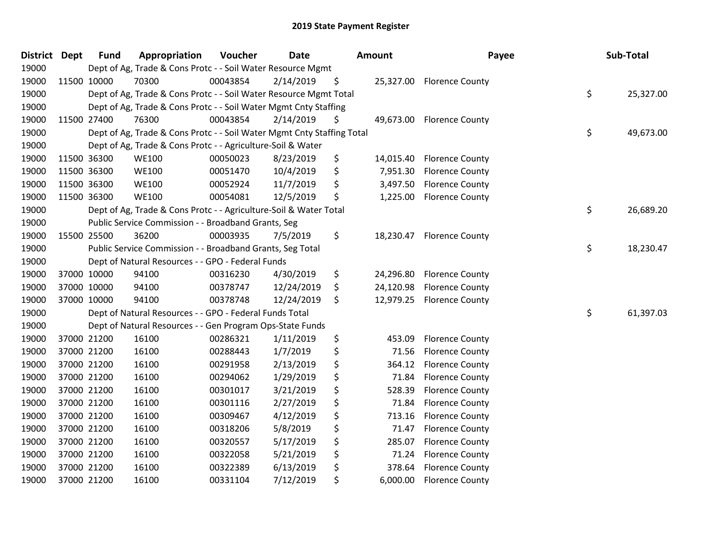| <b>District Dept</b> |             | <b>Fund</b> | Appropriation                                                          | Voucher  | <b>Date</b> | Amount          | Payee                     | Sub-Total       |
|----------------------|-------------|-------------|------------------------------------------------------------------------|----------|-------------|-----------------|---------------------------|-----------------|
| 19000                |             |             | Dept of Ag, Trade & Cons Protc - - Soil Water Resource Mgmt            |          |             |                 |                           |                 |
| 19000                | 11500 10000 |             | 70300                                                                  | 00043854 | 2/14/2019   | \$              | 25,327.00 Florence County |                 |
| 19000                |             |             | Dept of Ag, Trade & Cons Protc - - Soil Water Resource Mgmt Total      |          |             |                 |                           | \$<br>25,327.00 |
| 19000                |             |             | Dept of Ag, Trade & Cons Protc - - Soil Water Mgmt Cnty Staffing       |          |             |                 |                           |                 |
| 19000                | 11500 27400 |             | 76300                                                                  | 00043854 | 2/14/2019   | \$<br>49,673.00 | <b>Florence County</b>    |                 |
| 19000                |             |             | Dept of Ag, Trade & Cons Protc - - Soil Water Mgmt Cnty Staffing Total |          |             |                 |                           | \$<br>49,673.00 |
| 19000                |             |             | Dept of Ag, Trade & Cons Protc - - Agriculture-Soil & Water            |          |             |                 |                           |                 |
| 19000                | 11500 36300 |             | <b>WE100</b>                                                           | 00050023 | 8/23/2019   | \$<br>14,015.40 | <b>Florence County</b>    |                 |
| 19000                |             | 11500 36300 | <b>WE100</b>                                                           | 00051470 | 10/4/2019   | \$<br>7,951.30  | <b>Florence County</b>    |                 |
| 19000                | 11500 36300 |             | <b>WE100</b>                                                           | 00052924 | 11/7/2019   | \$<br>3,497.50  | <b>Florence County</b>    |                 |
| 19000                | 11500 36300 |             | <b>WE100</b>                                                           | 00054081 | 12/5/2019   | \$<br>1,225.00  | <b>Florence County</b>    |                 |
| 19000                |             |             | Dept of Ag, Trade & Cons Protc - - Agriculture-Soil & Water Total      |          |             |                 |                           | \$<br>26,689.20 |
| 19000                |             |             | Public Service Commission - - Broadband Grants, Seg                    |          |             |                 |                           |                 |
| 19000                |             | 15500 25500 | 36200                                                                  | 00003935 | 7/5/2019    | \$              | 18,230.47 Florence County |                 |
| 19000                |             |             | Public Service Commission - - Broadband Grants, Seg Total              |          |             |                 |                           | \$<br>18,230.47 |
| 19000                |             |             | Dept of Natural Resources - - GPO - Federal Funds                      |          |             |                 |                           |                 |
| 19000                | 37000 10000 |             | 94100                                                                  | 00316230 | 4/30/2019   | \$<br>24,296.80 | <b>Florence County</b>    |                 |
| 19000                | 37000 10000 |             | 94100                                                                  | 00378747 | 12/24/2019  | \$<br>24,120.98 | <b>Florence County</b>    |                 |
| 19000                | 37000 10000 |             | 94100                                                                  | 00378748 | 12/24/2019  | \$<br>12,979.25 | <b>Florence County</b>    |                 |
| 19000                |             |             | Dept of Natural Resources - - GPO - Federal Funds Total                |          |             |                 |                           | \$<br>61,397.03 |
| 19000                |             |             | Dept of Natural Resources - - Gen Program Ops-State Funds              |          |             |                 |                           |                 |
| 19000                | 37000 21200 |             | 16100                                                                  | 00286321 | 1/11/2019   | \$<br>453.09    | <b>Florence County</b>    |                 |
| 19000                | 37000 21200 |             | 16100                                                                  | 00288443 | 1/7/2019    | \$<br>71.56     | <b>Florence County</b>    |                 |
| 19000                | 37000 21200 |             | 16100                                                                  | 00291958 | 2/13/2019   | \$<br>364.12    | <b>Florence County</b>    |                 |
| 19000                | 37000 21200 |             | 16100                                                                  | 00294062 | 1/29/2019   | \$<br>71.84     | <b>Florence County</b>    |                 |
| 19000                | 37000 21200 |             | 16100                                                                  | 00301017 | 3/21/2019   | \$<br>528.39    | <b>Florence County</b>    |                 |
| 19000                | 37000 21200 |             | 16100                                                                  | 00301116 | 2/27/2019   | \$<br>71.84     | <b>Florence County</b>    |                 |
| 19000                | 37000 21200 |             | 16100                                                                  | 00309467 | 4/12/2019   | \$<br>713.16    | <b>Florence County</b>    |                 |
| 19000                | 37000 21200 |             | 16100                                                                  | 00318206 | 5/8/2019    | \$<br>71.47     | <b>Florence County</b>    |                 |
| 19000                | 37000 21200 |             | 16100                                                                  | 00320557 | 5/17/2019   | \$<br>285.07    | <b>Florence County</b>    |                 |
| 19000                | 37000 21200 |             | 16100                                                                  | 00322058 | 5/21/2019   | \$<br>71.24     | <b>Florence County</b>    |                 |
| 19000                | 37000 21200 |             | 16100                                                                  | 00322389 | 6/13/2019   | \$<br>378.64    | <b>Florence County</b>    |                 |
| 19000                | 37000 21200 |             | 16100                                                                  | 00331104 | 7/12/2019   | \$<br>6,000.00  | <b>Florence County</b>    |                 |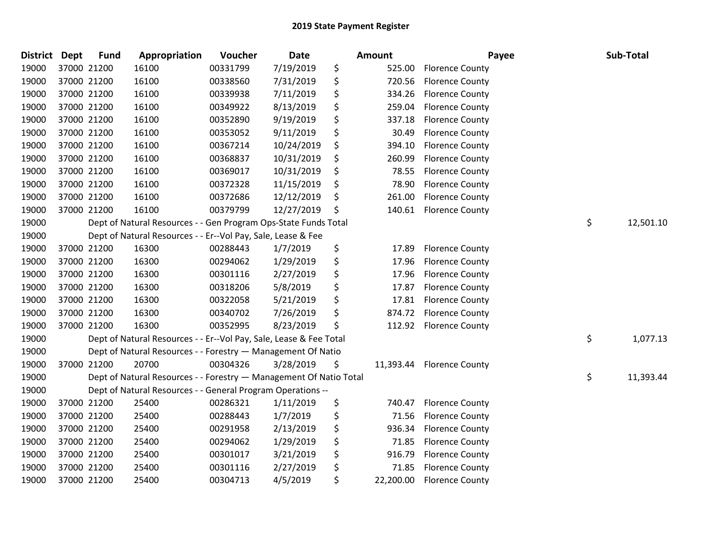| <b>District</b> | <b>Dept</b> | <b>Fund</b> | Appropriation                                                      | Voucher  | Date       | <b>Amount</b>   | Payee                  | Sub-Total       |
|-----------------|-------------|-------------|--------------------------------------------------------------------|----------|------------|-----------------|------------------------|-----------------|
| 19000           |             | 37000 21200 | 16100                                                              | 00331799 | 7/19/2019  | \$<br>525.00    | <b>Florence County</b> |                 |
| 19000           |             | 37000 21200 | 16100                                                              | 00338560 | 7/31/2019  | \$<br>720.56    | <b>Florence County</b> |                 |
| 19000           |             | 37000 21200 | 16100                                                              | 00339938 | 7/11/2019  | \$<br>334.26    | <b>Florence County</b> |                 |
| 19000           |             | 37000 21200 | 16100                                                              | 00349922 | 8/13/2019  | \$<br>259.04    | <b>Florence County</b> |                 |
| 19000           |             | 37000 21200 | 16100                                                              | 00352890 | 9/19/2019  | \$<br>337.18    | <b>Florence County</b> |                 |
| 19000           |             | 37000 21200 | 16100                                                              | 00353052 | 9/11/2019  | \$<br>30.49     | <b>Florence County</b> |                 |
| 19000           |             | 37000 21200 | 16100                                                              | 00367214 | 10/24/2019 | \$<br>394.10    | <b>Florence County</b> |                 |
| 19000           |             | 37000 21200 | 16100                                                              | 00368837 | 10/31/2019 | \$<br>260.99    | <b>Florence County</b> |                 |
| 19000           |             | 37000 21200 | 16100                                                              | 00369017 | 10/31/2019 | \$<br>78.55     | <b>Florence County</b> |                 |
| 19000           |             | 37000 21200 | 16100                                                              | 00372328 | 11/15/2019 | \$<br>78.90     | <b>Florence County</b> |                 |
| 19000           |             | 37000 21200 | 16100                                                              | 00372686 | 12/12/2019 | \$<br>261.00    | <b>Florence County</b> |                 |
| 19000           |             | 37000 21200 | 16100                                                              | 00379799 | 12/27/2019 | \$<br>140.61    | <b>Florence County</b> |                 |
| 19000           |             |             | Dept of Natural Resources - - Gen Program Ops-State Funds Total    |          |            |                 |                        | \$<br>12,501.10 |
| 19000           |             |             | Dept of Natural Resources - - Er--Vol Pay, Sale, Lease & Fee       |          |            |                 |                        |                 |
| 19000           |             | 37000 21200 | 16300                                                              | 00288443 | 1/7/2019   | \$<br>17.89     | <b>Florence County</b> |                 |
| 19000           |             | 37000 21200 | 16300                                                              | 00294062 | 1/29/2019  | \$<br>17.96     | <b>Florence County</b> |                 |
| 19000           |             | 37000 21200 | 16300                                                              | 00301116 | 2/27/2019  | \$<br>17.96     | <b>Florence County</b> |                 |
| 19000           |             | 37000 21200 | 16300                                                              | 00318206 | 5/8/2019   | \$<br>17.87     | <b>Florence County</b> |                 |
| 19000           |             | 37000 21200 | 16300                                                              | 00322058 | 5/21/2019  | \$<br>17.81     | <b>Florence County</b> |                 |
| 19000           |             | 37000 21200 | 16300                                                              | 00340702 | 7/26/2019  | \$<br>874.72    | <b>Florence County</b> |                 |
| 19000           |             | 37000 21200 | 16300                                                              | 00352995 | 8/23/2019  | \$<br>112.92    | <b>Florence County</b> |                 |
| 19000           |             |             | Dept of Natural Resources - - Er--Vol Pay, Sale, Lease & Fee Total |          |            |                 |                        | \$<br>1,077.13  |
| 19000           |             |             | Dept of Natural Resources - - Forestry - Management Of Natio       |          |            |                 |                        |                 |
| 19000           |             | 37000 21200 | 20700                                                              | 00304326 | 3/28/2019  | \$<br>11,393.44 | <b>Florence County</b> |                 |
| 19000           |             |             | Dept of Natural Resources - - Forestry - Management Of Natio Total |          |            |                 |                        | \$<br>11,393.44 |
| 19000           |             |             | Dept of Natural Resources - - General Program Operations --        |          |            |                 |                        |                 |
| 19000           |             | 37000 21200 | 25400                                                              | 00286321 | 1/11/2019  | \$<br>740.47    | <b>Florence County</b> |                 |
| 19000           |             | 37000 21200 | 25400                                                              | 00288443 | 1/7/2019   | \$<br>71.56     | <b>Florence County</b> |                 |
| 19000           |             | 37000 21200 | 25400                                                              | 00291958 | 2/13/2019  | \$<br>936.34    | <b>Florence County</b> |                 |
| 19000           |             | 37000 21200 | 25400                                                              | 00294062 | 1/29/2019  | \$<br>71.85     | <b>Florence County</b> |                 |
| 19000           |             | 37000 21200 | 25400                                                              | 00301017 | 3/21/2019  | \$<br>916.79    | <b>Florence County</b> |                 |
| 19000           |             | 37000 21200 | 25400                                                              | 00301116 | 2/27/2019  | \$<br>71.85     | <b>Florence County</b> |                 |
| 19000           |             | 37000 21200 | 25400                                                              | 00304713 | 4/5/2019   | \$<br>22,200.00 | <b>Florence County</b> |                 |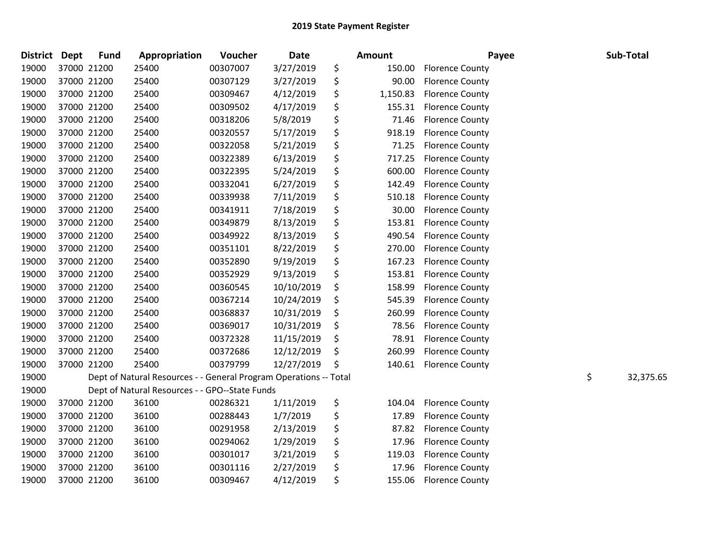| <b>District Dept</b> |             | <b>Fund</b> | Appropriation                                                     | Voucher  | <b>Date</b> | <b>Amount</b>  | Payee                  | Sub-Total       |
|----------------------|-------------|-------------|-------------------------------------------------------------------|----------|-------------|----------------|------------------------|-----------------|
| 19000                |             | 37000 21200 | 25400                                                             | 00307007 | 3/27/2019   | \$<br>150.00   | <b>Florence County</b> |                 |
| 19000                |             | 37000 21200 | 25400                                                             | 00307129 | 3/27/2019   | \$<br>90.00    | <b>Florence County</b> |                 |
| 19000                | 37000 21200 |             | 25400                                                             | 00309467 | 4/12/2019   | \$<br>1,150.83 | <b>Florence County</b> |                 |
| 19000                |             | 37000 21200 | 25400                                                             | 00309502 | 4/17/2019   | \$<br>155.31   | <b>Florence County</b> |                 |
| 19000                |             | 37000 21200 | 25400                                                             | 00318206 | 5/8/2019    | \$<br>71.46    | <b>Florence County</b> |                 |
| 19000                |             | 37000 21200 | 25400                                                             | 00320557 | 5/17/2019   | \$<br>918.19   | <b>Florence County</b> |                 |
| 19000                |             | 37000 21200 | 25400                                                             | 00322058 | 5/21/2019   | \$<br>71.25    | <b>Florence County</b> |                 |
| 19000                | 37000 21200 |             | 25400                                                             | 00322389 | 6/13/2019   | \$<br>717.25   | <b>Florence County</b> |                 |
| 19000                | 37000 21200 |             | 25400                                                             | 00322395 | 5/24/2019   | \$<br>600.00   | <b>Florence County</b> |                 |
| 19000                | 37000 21200 |             | 25400                                                             | 00332041 | 6/27/2019   | \$<br>142.49   | <b>Florence County</b> |                 |
| 19000                |             | 37000 21200 | 25400                                                             | 00339938 | 7/11/2019   | \$<br>510.18   | <b>Florence County</b> |                 |
| 19000                |             | 37000 21200 | 25400                                                             | 00341911 | 7/18/2019   | \$<br>30.00    | <b>Florence County</b> |                 |
| 19000                |             | 37000 21200 | 25400                                                             | 00349879 | 8/13/2019   | \$<br>153.81   | <b>Florence County</b> |                 |
| 19000                | 37000 21200 |             | 25400                                                             | 00349922 | 8/13/2019   | \$<br>490.54   | <b>Florence County</b> |                 |
| 19000                | 37000 21200 |             | 25400                                                             | 00351101 | 8/22/2019   | \$<br>270.00   | <b>Florence County</b> |                 |
| 19000                |             | 37000 21200 | 25400                                                             | 00352890 | 9/19/2019   | \$<br>167.23   | <b>Florence County</b> |                 |
| 19000                |             | 37000 21200 | 25400                                                             | 00352929 | 9/13/2019   | \$<br>153.81   | <b>Florence County</b> |                 |
| 19000                |             | 37000 21200 | 25400                                                             | 00360545 | 10/10/2019  | \$<br>158.99   | <b>Florence County</b> |                 |
| 19000                | 37000 21200 |             | 25400                                                             | 00367214 | 10/24/2019  | \$<br>545.39   | <b>Florence County</b> |                 |
| 19000                | 37000 21200 |             | 25400                                                             | 00368837 | 10/31/2019  | \$<br>260.99   | <b>Florence County</b> |                 |
| 19000                | 37000 21200 |             | 25400                                                             | 00369017 | 10/31/2019  | \$<br>78.56    | <b>Florence County</b> |                 |
| 19000                |             | 37000 21200 | 25400                                                             | 00372328 | 11/15/2019  | \$<br>78.91    | <b>Florence County</b> |                 |
| 19000                |             | 37000 21200 | 25400                                                             | 00372686 | 12/12/2019  | \$<br>260.99   | <b>Florence County</b> |                 |
| 19000                |             | 37000 21200 | 25400                                                             | 00379799 | 12/27/2019  | \$<br>140.61   | <b>Florence County</b> |                 |
| 19000                |             |             | Dept of Natural Resources - - General Program Operations -- Total |          |             |                |                        | \$<br>32,375.65 |
| 19000                |             |             | Dept of Natural Resources - - GPO--State Funds                    |          |             |                |                        |                 |
| 19000                |             | 37000 21200 | 36100                                                             | 00286321 | 1/11/2019   | \$<br>104.04   | <b>Florence County</b> |                 |
| 19000                |             | 37000 21200 | 36100                                                             | 00288443 | 1/7/2019    | \$<br>17.89    | <b>Florence County</b> |                 |
| 19000                |             | 37000 21200 | 36100                                                             | 00291958 | 2/13/2019   | \$<br>87.82    | <b>Florence County</b> |                 |
| 19000                | 37000 21200 |             | 36100                                                             | 00294062 | 1/29/2019   | \$<br>17.96    | <b>Florence County</b> |                 |
| 19000                | 37000 21200 |             | 36100                                                             | 00301017 | 3/21/2019   | \$<br>119.03   | <b>Florence County</b> |                 |
| 19000                |             | 37000 21200 | 36100                                                             | 00301116 | 2/27/2019   | \$<br>17.96    | <b>Florence County</b> |                 |
| 19000                |             | 37000 21200 | 36100                                                             | 00309467 | 4/12/2019   | \$<br>155.06   | <b>Florence County</b> |                 |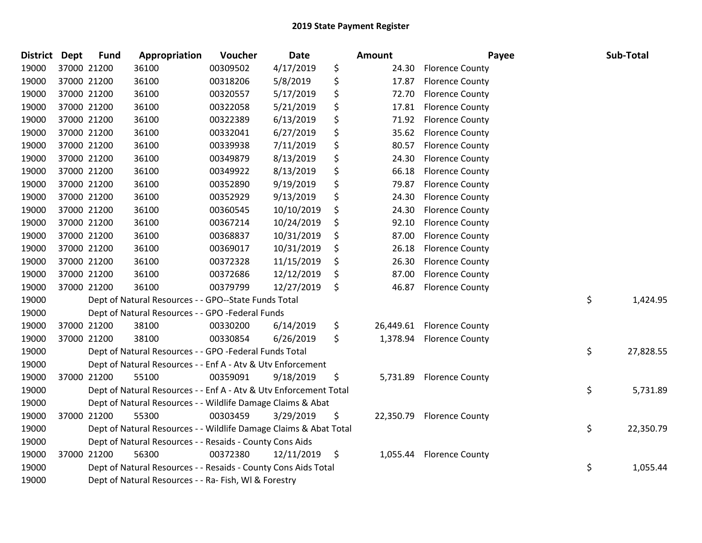| <b>District</b> | <b>Dept</b> | <b>Fund</b> | Appropriation                                                     | Voucher  | Date       | <b>Amount</b>   | Payee                    | Sub-Total       |
|-----------------|-------------|-------------|-------------------------------------------------------------------|----------|------------|-----------------|--------------------------|-----------------|
| 19000           | 37000 21200 |             | 36100                                                             | 00309502 | 4/17/2019  | \$<br>24.30     | <b>Florence County</b>   |                 |
| 19000           | 37000 21200 |             | 36100                                                             | 00318206 | 5/8/2019   | \$<br>17.87     | <b>Florence County</b>   |                 |
| 19000           | 37000 21200 |             | 36100                                                             | 00320557 | 5/17/2019  | \$<br>72.70     | <b>Florence County</b>   |                 |
| 19000           | 37000 21200 |             | 36100                                                             | 00322058 | 5/21/2019  | \$<br>17.81     | <b>Florence County</b>   |                 |
| 19000           | 37000 21200 |             | 36100                                                             | 00322389 | 6/13/2019  | \$<br>71.92     | <b>Florence County</b>   |                 |
| 19000           | 37000 21200 |             | 36100                                                             | 00332041 | 6/27/2019  | \$<br>35.62     | <b>Florence County</b>   |                 |
| 19000           | 37000 21200 |             | 36100                                                             | 00339938 | 7/11/2019  | \$<br>80.57     | <b>Florence County</b>   |                 |
| 19000           | 37000 21200 |             | 36100                                                             | 00349879 | 8/13/2019  | \$<br>24.30     | <b>Florence County</b>   |                 |
| 19000           | 37000 21200 |             | 36100                                                             | 00349922 | 8/13/2019  | \$<br>66.18     | <b>Florence County</b>   |                 |
| 19000           | 37000 21200 |             | 36100                                                             | 00352890 | 9/19/2019  | \$<br>79.87     | <b>Florence County</b>   |                 |
| 19000           | 37000 21200 |             | 36100                                                             | 00352929 | 9/13/2019  | \$<br>24.30     | <b>Florence County</b>   |                 |
| 19000           | 37000 21200 |             | 36100                                                             | 00360545 | 10/10/2019 | \$<br>24.30     | <b>Florence County</b>   |                 |
| 19000           | 37000 21200 |             | 36100                                                             | 00367214 | 10/24/2019 | \$<br>92.10     | <b>Florence County</b>   |                 |
| 19000           | 37000 21200 |             | 36100                                                             | 00368837 | 10/31/2019 | \$<br>87.00     | <b>Florence County</b>   |                 |
| 19000           | 37000 21200 |             | 36100                                                             | 00369017 | 10/31/2019 | \$<br>26.18     | <b>Florence County</b>   |                 |
| 19000           | 37000 21200 |             | 36100                                                             | 00372328 | 11/15/2019 | \$<br>26.30     | <b>Florence County</b>   |                 |
| 19000           | 37000 21200 |             | 36100                                                             | 00372686 | 12/12/2019 | \$<br>87.00     | <b>Florence County</b>   |                 |
| 19000           | 37000 21200 |             | 36100                                                             | 00379799 | 12/27/2019 | \$<br>46.87     | <b>Florence County</b>   |                 |
| 19000           |             |             | Dept of Natural Resources - - GPO--State Funds Total              |          |            |                 |                          | \$<br>1,424.95  |
| 19000           |             |             | Dept of Natural Resources - - GPO -Federal Funds                  |          |            |                 |                          |                 |
| 19000           | 37000 21200 |             | 38100                                                             | 00330200 | 6/14/2019  | \$<br>26,449.61 | <b>Florence County</b>   |                 |
| 19000           | 37000 21200 |             | 38100                                                             | 00330854 | 6/26/2019  | \$<br>1,378.94  | <b>Florence County</b>   |                 |
| 19000           |             |             | Dept of Natural Resources - - GPO -Federal Funds Total            |          |            |                 |                          | \$<br>27,828.55 |
| 19000           |             |             | Dept of Natural Resources - - Enf A - Atv & Utv Enforcement       |          |            |                 |                          |                 |
| 19000           | 37000 21200 |             | 55100                                                             | 00359091 | 9/18/2019  | \$<br>5,731.89  | <b>Florence County</b>   |                 |
| 19000           |             |             | Dept of Natural Resources - - Enf A - Atv & Utv Enforcement Total |          |            |                 |                          | \$<br>5,731.89  |
| 19000           |             |             | Dept of Natural Resources - - Wildlife Damage Claims & Abat       |          |            |                 |                          |                 |
| 19000           | 37000 21200 |             | 55300                                                             | 00303459 | 3/29/2019  | \$<br>22,350.79 | <b>Florence County</b>   |                 |
| 19000           |             |             | Dept of Natural Resources - - Wildlife Damage Claims & Abat Total |          |            |                 |                          | \$<br>22,350.79 |
| 19000           |             |             | Dept of Natural Resources - - Resaids - County Cons Aids          |          |            |                 |                          |                 |
| 19000           | 37000 21200 |             | 56300                                                             | 00372380 | 12/11/2019 | \$              | 1,055.44 Florence County |                 |
| 19000           |             |             | Dept of Natural Resources - - Resaids - County Cons Aids Total    |          |            |                 |                          | \$<br>1,055.44  |
| 19000           |             |             | Dept of Natural Resources - - Ra- Fish, WI & Forestry             |          |            |                 |                          |                 |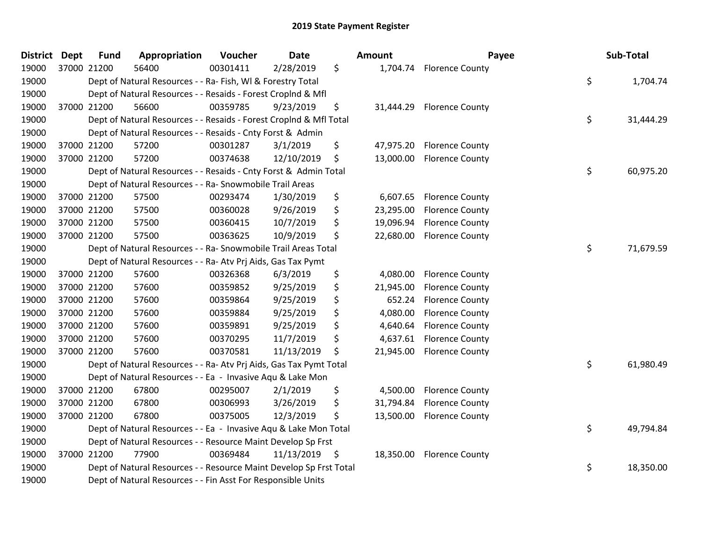| <b>District</b> | <b>Dept</b> | <b>Fund</b> | Appropriation                                                      | Voucher  | <b>Date</b> | Amount          | Payee                  | Sub-Total       |
|-----------------|-------------|-------------|--------------------------------------------------------------------|----------|-------------|-----------------|------------------------|-----------------|
| 19000           |             | 37000 21200 | 56400                                                              | 00301411 | 2/28/2019   | \$<br>1,704.74  | <b>Florence County</b> |                 |
| 19000           |             |             | Dept of Natural Resources - - Ra- Fish, WI & Forestry Total        |          |             |                 |                        | \$<br>1,704.74  |
| 19000           |             |             | Dept of Natural Resources - - Resaids - Forest Croplnd & Mfl       |          |             |                 |                        |                 |
| 19000           |             | 37000 21200 | 56600                                                              | 00359785 | 9/23/2019   | \$<br>31,444.29 | <b>Florence County</b> |                 |
| 19000           |             |             | Dept of Natural Resources - - Resaids - Forest CropInd & Mfl Total |          |             |                 |                        | \$<br>31,444.29 |
| 19000           |             |             | Dept of Natural Resources - - Resaids - Cnty Forst & Admin         |          |             |                 |                        |                 |
| 19000           |             | 37000 21200 | 57200                                                              | 00301287 | 3/1/2019    | \$<br>47,975.20 | <b>Florence County</b> |                 |
| 19000           |             | 37000 21200 | 57200                                                              | 00374638 | 12/10/2019  | \$<br>13,000.00 | <b>Florence County</b> |                 |
| 19000           |             |             | Dept of Natural Resources - - Resaids - Cnty Forst & Admin Total   |          |             |                 |                        | \$<br>60,975.20 |
| 19000           |             |             | Dept of Natural Resources - - Ra- Snowmobile Trail Areas           |          |             |                 |                        |                 |
| 19000           |             | 37000 21200 | 57500                                                              | 00293474 | 1/30/2019   | \$<br>6,607.65  | <b>Florence County</b> |                 |
| 19000           |             | 37000 21200 | 57500                                                              | 00360028 | 9/26/2019   | \$<br>23,295.00 | <b>Florence County</b> |                 |
| 19000           |             | 37000 21200 | 57500                                                              | 00360415 | 10/7/2019   | \$<br>19,096.94 | <b>Florence County</b> |                 |
| 19000           |             | 37000 21200 | 57500                                                              | 00363625 | 10/9/2019   | \$<br>22,680.00 | <b>Florence County</b> |                 |
| 19000           |             |             | Dept of Natural Resources - - Ra- Snowmobile Trail Areas Total     |          |             |                 |                        | \$<br>71,679.59 |
| 19000           |             |             | Dept of Natural Resources - - Ra- Atv Prj Aids, Gas Tax Pymt       |          |             |                 |                        |                 |
| 19000           |             | 37000 21200 | 57600                                                              | 00326368 | 6/3/2019    | \$<br>4,080.00  | <b>Florence County</b> |                 |
| 19000           |             | 37000 21200 | 57600                                                              | 00359852 | 9/25/2019   | \$<br>21,945.00 | <b>Florence County</b> |                 |
| 19000           |             | 37000 21200 | 57600                                                              | 00359864 | 9/25/2019   | \$<br>652.24    | <b>Florence County</b> |                 |
| 19000           |             | 37000 21200 | 57600                                                              | 00359884 | 9/25/2019   | \$<br>4,080.00  | <b>Florence County</b> |                 |
| 19000           |             | 37000 21200 | 57600                                                              | 00359891 | 9/25/2019   | \$<br>4,640.64  | <b>Florence County</b> |                 |
| 19000           |             | 37000 21200 | 57600                                                              | 00370295 | 11/7/2019   | \$<br>4,637.61  | <b>Florence County</b> |                 |
| 19000           |             | 37000 21200 | 57600                                                              | 00370581 | 11/13/2019  | \$<br>21,945.00 | <b>Florence County</b> |                 |
| 19000           |             |             | Dept of Natural Resources - - Ra- Atv Prj Aids, Gas Tax Pymt Total |          |             |                 |                        | \$<br>61,980.49 |
| 19000           |             |             | Dept of Natural Resources - - Ea - Invasive Aqu & Lake Mon         |          |             |                 |                        |                 |
| 19000           |             | 37000 21200 | 67800                                                              | 00295007 | 2/1/2019    | \$<br>4,500.00  | <b>Florence County</b> |                 |
| 19000           |             | 37000 21200 | 67800                                                              | 00306993 | 3/26/2019   | \$<br>31,794.84 | <b>Florence County</b> |                 |
| 19000           |             | 37000 21200 | 67800                                                              | 00375005 | 12/3/2019   | \$<br>13,500.00 | <b>Florence County</b> |                 |
| 19000           |             |             | Dept of Natural Resources - - Ea - Invasive Aqu & Lake Mon Total   |          |             |                 |                        | \$<br>49,794.84 |
| 19000           |             |             | Dept of Natural Resources - - Resource Maint Develop Sp Frst       |          |             |                 |                        |                 |
| 19000           |             | 37000 21200 | 77900                                                              | 00369484 | 11/13/2019  | \$<br>18,350.00 | <b>Florence County</b> |                 |
| 19000           |             |             | Dept of Natural Resources - - Resource Maint Develop Sp Frst Total |          |             |                 |                        | \$<br>18,350.00 |
| 19000           |             |             | Dept of Natural Resources - - Fin Asst For Responsible Units       |          |             |                 |                        |                 |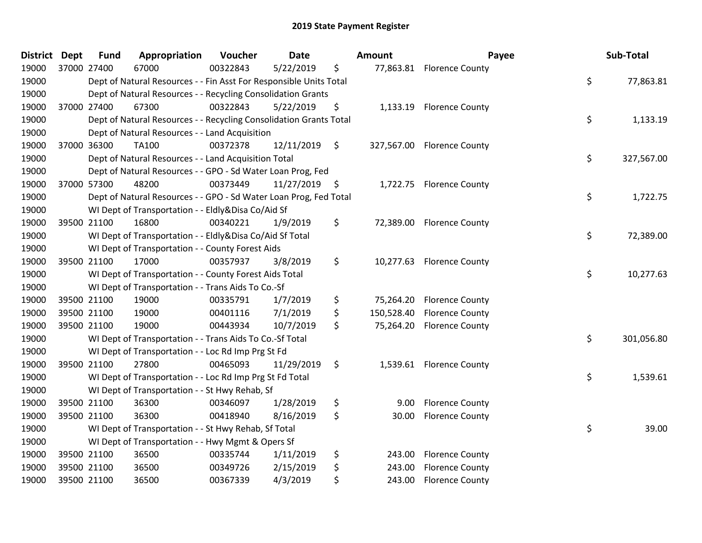| <b>District Dept</b> |             | <b>Fund</b> | Appropriation                                                      | Voucher  | <b>Date</b>   |               | Amount     | Payee                      | Sub-Total        |
|----------------------|-------------|-------------|--------------------------------------------------------------------|----------|---------------|---------------|------------|----------------------------|------------------|
| 19000                | 37000 27400 |             | 67000                                                              | 00322843 | 5/22/2019     | \$            |            | 77,863.81 Florence County  |                  |
| 19000                |             |             | Dept of Natural Resources - - Fin Asst For Responsible Units Total |          |               |               |            |                            | \$<br>77,863.81  |
| 19000                |             |             | Dept of Natural Resources - - Recycling Consolidation Grants       |          |               |               |            |                            |                  |
| 19000                |             | 37000 27400 | 67300                                                              | 00322843 | 5/22/2019     | \$            | 1,133.19   | <b>Florence County</b>     |                  |
| 19000                |             |             | Dept of Natural Resources - - Recycling Consolidation Grants Total |          |               |               |            |                            | \$<br>1,133.19   |
| 19000                |             |             | Dept of Natural Resources - - Land Acquisition                     |          |               |               |            |                            |                  |
| 19000                | 37000 36300 |             | <b>TA100</b>                                                       | 00372378 | 12/11/2019    | $\ddot{\phi}$ |            | 327,567.00 Florence County |                  |
| 19000                |             |             | Dept of Natural Resources - - Land Acquisition Total               |          |               |               |            |                            | \$<br>327,567.00 |
| 19000                |             |             | Dept of Natural Resources - - GPO - Sd Water Loan Prog, Fed        |          |               |               |            |                            |                  |
| 19000                |             | 37000 57300 | 48200                                                              | 00373449 | 11/27/2019 \$ |               |            | 1,722.75 Florence County   |                  |
| 19000                |             |             | Dept of Natural Resources - - GPO - Sd Water Loan Prog, Fed Total  |          |               |               |            |                            | \$<br>1,722.75   |
| 19000                |             |             | WI Dept of Transportation - - Eldly&Disa Co/Aid Sf                 |          |               |               |            |                            |                  |
| 19000                | 39500 21100 |             | 16800                                                              | 00340221 | 1/9/2019      | \$            |            | 72,389.00 Florence County  |                  |
| 19000                |             |             | WI Dept of Transportation - - Eldly&Disa Co/Aid Sf Total           |          |               |               |            |                            | \$<br>72,389.00  |
| 19000                |             |             | WI Dept of Transportation - - County Forest Aids                   |          |               |               |            |                            |                  |
| 19000                |             | 39500 21100 | 17000                                                              | 00357937 | 3/8/2019      | \$            | 10,277.63  | <b>Florence County</b>     |                  |
| 19000                |             |             | WI Dept of Transportation - - County Forest Aids Total             |          |               |               |            |                            | \$<br>10,277.63  |
| 19000                |             |             | WI Dept of Transportation - - Trans Aids To Co.-Sf                 |          |               |               |            |                            |                  |
| 19000                |             | 39500 21100 | 19000                                                              | 00335791 | 1/7/2019      | \$            | 75,264.20  | <b>Florence County</b>     |                  |
| 19000                | 39500 21100 |             | 19000                                                              | 00401116 | 7/1/2019      | \$            | 150,528.40 | <b>Florence County</b>     |                  |
| 19000                |             | 39500 21100 | 19000                                                              | 00443934 | 10/7/2019     | \$            | 75,264.20  | <b>Florence County</b>     |                  |
| 19000                |             |             | WI Dept of Transportation - - Trans Aids To Co.-Sf Total           |          |               |               |            |                            | \$<br>301,056.80 |
| 19000                |             |             | WI Dept of Transportation - - Loc Rd Imp Prg St Fd                 |          |               |               |            |                            |                  |
| 19000                |             | 39500 21100 | 27800                                                              | 00465093 | 11/29/2019    | \$            |            | 1,539.61 Florence County   |                  |
| 19000                |             |             | WI Dept of Transportation - - Loc Rd Imp Prg St Fd Total           |          |               |               |            |                            | \$<br>1,539.61   |
| 19000                |             |             | WI Dept of Transportation - - St Hwy Rehab, Sf                     |          |               |               |            |                            |                  |
| 19000                |             | 39500 21100 | 36300                                                              | 00346097 | 1/28/2019     | \$            | 9.00       | <b>Florence County</b>     |                  |
| 19000                | 39500 21100 |             | 36300                                                              | 00418940 | 8/16/2019     | \$            | 30.00      | <b>Florence County</b>     |                  |
| 19000                |             |             | WI Dept of Transportation - - St Hwy Rehab, Sf Total               |          |               |               |            |                            | \$<br>39.00      |
| 19000                |             |             | WI Dept of Transportation - - Hwy Mgmt & Opers Sf                  |          |               |               |            |                            |                  |
| 19000                | 39500 21100 |             | 36500                                                              | 00335744 | 1/11/2019     | \$            | 243.00     | <b>Florence County</b>     |                  |
| 19000                |             | 39500 21100 | 36500                                                              | 00349726 | 2/15/2019     | \$            | 243.00     | <b>Florence County</b>     |                  |
| 19000                | 39500 21100 |             | 36500                                                              | 00367339 | 4/3/2019      | \$            | 243.00     | <b>Florence County</b>     |                  |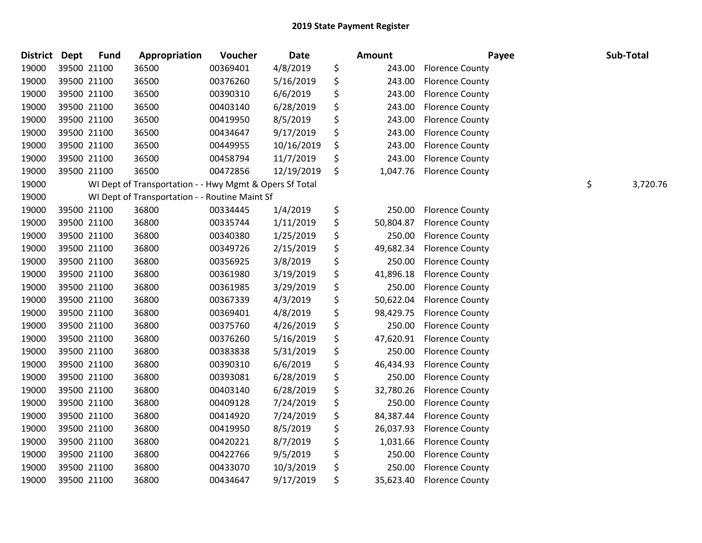| <b>District</b> | <b>Dept</b> | <b>Fund</b> | Appropriation                                           | Voucher  | <b>Date</b> | Amount          | Payee                  | Sub-Total      |
|-----------------|-------------|-------------|---------------------------------------------------------|----------|-------------|-----------------|------------------------|----------------|
| 19000           |             | 39500 21100 | 36500                                                   | 00369401 | 4/8/2019    | \$<br>243.00    | <b>Florence County</b> |                |
| 19000           |             | 39500 21100 | 36500                                                   | 00376260 | 5/16/2019   | \$<br>243.00    | <b>Florence County</b> |                |
| 19000           | 39500 21100 |             | 36500                                                   | 00390310 | 6/6/2019    | \$<br>243.00    | <b>Florence County</b> |                |
| 19000           | 39500 21100 |             | 36500                                                   | 00403140 | 6/28/2019   | \$<br>243.00    | <b>Florence County</b> |                |
| 19000           |             | 39500 21100 | 36500                                                   | 00419950 | 8/5/2019    | \$<br>243.00    | <b>Florence County</b> |                |
| 19000           |             | 39500 21100 | 36500                                                   | 00434647 | 9/17/2019   | \$<br>243.00    | <b>Florence County</b> |                |
| 19000           |             | 39500 21100 | 36500                                                   | 00449955 | 10/16/2019  | \$<br>243.00    | <b>Florence County</b> |                |
| 19000           |             | 39500 21100 | 36500                                                   | 00458794 | 11/7/2019   | \$<br>243.00    | <b>Florence County</b> |                |
| 19000           |             | 39500 21100 | 36500                                                   | 00472856 | 12/19/2019  | \$<br>1,047.76  | <b>Florence County</b> |                |
| 19000           |             |             | WI Dept of Transportation - - Hwy Mgmt & Opers Sf Total |          |             |                 |                        | \$<br>3,720.76 |
| 19000           |             |             | WI Dept of Transportation - - Routine Maint Sf          |          |             |                 |                        |                |
| 19000           |             | 39500 21100 | 36800                                                   | 00334445 | 1/4/2019    | \$<br>250.00    | <b>Florence County</b> |                |
| 19000           |             | 39500 21100 | 36800                                                   | 00335744 | 1/11/2019   | \$<br>50,804.87 | <b>Florence County</b> |                |
| 19000           |             | 39500 21100 | 36800                                                   | 00340380 | 1/25/2019   | \$<br>250.00    | <b>Florence County</b> |                |
| 19000           |             | 39500 21100 | 36800                                                   | 00349726 | 2/15/2019   | \$<br>49,682.34 | <b>Florence County</b> |                |
| 19000           |             | 39500 21100 | 36800                                                   | 00356925 | 3/8/2019    | \$<br>250.00    | <b>Florence County</b> |                |
| 19000           |             | 39500 21100 | 36800                                                   | 00361980 | 3/19/2019   | \$<br>41,896.18 | <b>Florence County</b> |                |
| 19000           |             | 39500 21100 | 36800                                                   | 00361985 | 3/29/2019   | \$<br>250.00    | <b>Florence County</b> |                |
| 19000           |             | 39500 21100 | 36800                                                   | 00367339 | 4/3/2019    | \$<br>50,622.04 | <b>Florence County</b> |                |
| 19000           |             | 39500 21100 | 36800                                                   | 00369401 | 4/8/2019    | \$<br>98,429.75 | <b>Florence County</b> |                |
| 19000           |             | 39500 21100 | 36800                                                   | 00375760 | 4/26/2019   | \$<br>250.00    | <b>Florence County</b> |                |
| 19000           |             | 39500 21100 | 36800                                                   | 00376260 | 5/16/2019   | \$<br>47,620.91 | <b>Florence County</b> |                |
| 19000           | 39500 21100 |             | 36800                                                   | 00383838 | 5/31/2019   | \$<br>250.00    | <b>Florence County</b> |                |
| 19000           |             | 39500 21100 | 36800                                                   | 00390310 | 6/6/2019    | \$<br>46,434.93 | <b>Florence County</b> |                |
| 19000           | 39500 21100 |             | 36800                                                   | 00393081 | 6/28/2019   | \$<br>250.00    | <b>Florence County</b> |                |
| 19000           |             | 39500 21100 | 36800                                                   | 00403140 | 6/28/2019   | \$<br>32,780.26 | <b>Florence County</b> |                |
| 19000           |             | 39500 21100 | 36800                                                   | 00409128 | 7/24/2019   | \$<br>250.00    | <b>Florence County</b> |                |
| 19000           |             | 39500 21100 | 36800                                                   | 00414920 | 7/24/2019   | \$<br>84,387.44 | <b>Florence County</b> |                |
| 19000           |             | 39500 21100 | 36800                                                   | 00419950 | 8/5/2019    | \$<br>26,037.93 | <b>Florence County</b> |                |
| 19000           |             | 39500 21100 | 36800                                                   | 00420221 | 8/7/2019    | \$<br>1,031.66  | <b>Florence County</b> |                |
| 19000           |             | 39500 21100 | 36800                                                   | 00422766 | 9/5/2019    | \$<br>250.00    | <b>Florence County</b> |                |
| 19000           |             | 39500 21100 | 36800                                                   | 00433070 | 10/3/2019   | \$<br>250.00    | <b>Florence County</b> |                |
| 19000           | 39500 21100 |             | 36800                                                   | 00434647 | 9/17/2019   | \$<br>35,623.40 | <b>Florence County</b> |                |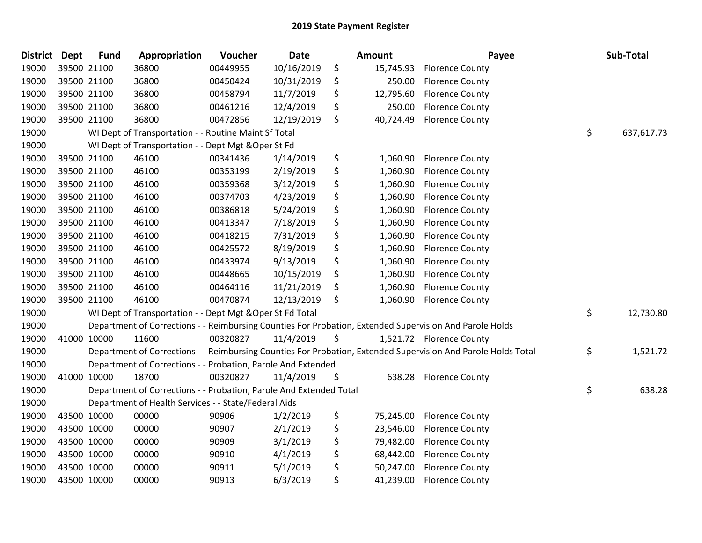| <b>District</b> | <b>Dept</b> | <b>Fund</b> | Appropriation                                                      | Voucher  | Date       | <b>Amount</b>   | Payee                                                                                                         | Sub-Total        |
|-----------------|-------------|-------------|--------------------------------------------------------------------|----------|------------|-----------------|---------------------------------------------------------------------------------------------------------------|------------------|
| 19000           |             | 39500 21100 | 36800                                                              | 00449955 | 10/16/2019 | \$<br>15,745.93 | <b>Florence County</b>                                                                                        |                  |
| 19000           |             | 39500 21100 | 36800                                                              | 00450424 | 10/31/2019 | \$<br>250.00    | <b>Florence County</b>                                                                                        |                  |
| 19000           | 39500 21100 |             | 36800                                                              | 00458794 | 11/7/2019  | \$<br>12,795.60 | <b>Florence County</b>                                                                                        |                  |
| 19000           | 39500 21100 |             | 36800                                                              | 00461216 | 12/4/2019  | \$<br>250.00    | <b>Florence County</b>                                                                                        |                  |
| 19000           |             | 39500 21100 | 36800                                                              | 00472856 | 12/19/2019 | \$<br>40,724.49 | <b>Florence County</b>                                                                                        |                  |
| 19000           |             |             | WI Dept of Transportation - - Routine Maint Sf Total               |          |            |                 |                                                                                                               | \$<br>637,617.73 |
| 19000           |             |             | WI Dept of Transportation - - Dept Mgt & Oper St Fd                |          |            |                 |                                                                                                               |                  |
| 19000           |             | 39500 21100 | 46100                                                              | 00341436 | 1/14/2019  | \$<br>1,060.90  | <b>Florence County</b>                                                                                        |                  |
| 19000           |             | 39500 21100 | 46100                                                              | 00353199 | 2/19/2019  | \$<br>1,060.90  | <b>Florence County</b>                                                                                        |                  |
| 19000           |             | 39500 21100 | 46100                                                              | 00359368 | 3/12/2019  | \$<br>1,060.90  | <b>Florence County</b>                                                                                        |                  |
| 19000           |             | 39500 21100 | 46100                                                              | 00374703 | 4/23/2019  | \$<br>1,060.90  | <b>Florence County</b>                                                                                        |                  |
| 19000           | 39500 21100 |             | 46100                                                              | 00386818 | 5/24/2019  | \$<br>1,060.90  | <b>Florence County</b>                                                                                        |                  |
| 19000           |             | 39500 21100 | 46100                                                              | 00413347 | 7/18/2019  | \$<br>1,060.90  | <b>Florence County</b>                                                                                        |                  |
| 19000           |             | 39500 21100 | 46100                                                              | 00418215 | 7/31/2019  | \$<br>1,060.90  | <b>Florence County</b>                                                                                        |                  |
| 19000           |             | 39500 21100 | 46100                                                              | 00425572 | 8/19/2019  | \$<br>1,060.90  | <b>Florence County</b>                                                                                        |                  |
| 19000           |             | 39500 21100 | 46100                                                              | 00433974 | 9/13/2019  | \$<br>1,060.90  | <b>Florence County</b>                                                                                        |                  |
| 19000           | 39500 21100 |             | 46100                                                              | 00448665 | 10/15/2019 | \$<br>1,060.90  | <b>Florence County</b>                                                                                        |                  |
| 19000           | 39500 21100 |             | 46100                                                              | 00464116 | 11/21/2019 | \$<br>1,060.90  | <b>Florence County</b>                                                                                        |                  |
| 19000           |             | 39500 21100 | 46100                                                              | 00470874 | 12/13/2019 | \$<br>1,060.90  | <b>Florence County</b>                                                                                        |                  |
| 19000           |             |             | WI Dept of Transportation - - Dept Mgt & Oper St Fd Total          |          |            |                 |                                                                                                               | \$<br>12,730.80  |
| 19000           |             |             |                                                                    |          |            |                 | Department of Corrections - - Reimbursing Counties For Probation, Extended Supervision And Parole Holds       |                  |
| 19000           | 41000 10000 |             | 11600                                                              | 00320827 | 11/4/2019  | \$              | 1,521.72 Florence County                                                                                      |                  |
| 19000           |             |             |                                                                    |          |            |                 | Department of Corrections - - Reimbursing Counties For Probation, Extended Supervision And Parole Holds Total | \$<br>1,521.72   |
| 19000           |             |             | Department of Corrections - - Probation, Parole And Extended       |          |            |                 |                                                                                                               |                  |
| 19000           | 41000 10000 |             | 18700                                                              | 00320827 | 11/4/2019  | \$<br>638.28    | <b>Florence County</b>                                                                                        |                  |
| 19000           |             |             | Department of Corrections - - Probation, Parole And Extended Total |          |            |                 |                                                                                                               | \$<br>638.28     |
| 19000           |             |             | Department of Health Services - - State/Federal Aids               |          |            |                 |                                                                                                               |                  |
| 19000           | 43500 10000 |             | 00000                                                              | 90906    | 1/2/2019   | \$<br>75,245.00 | <b>Florence County</b>                                                                                        |                  |
| 19000           | 43500 10000 |             | 00000                                                              | 90907    | 2/1/2019   | \$<br>23,546.00 | <b>Florence County</b>                                                                                        |                  |
| 19000           | 43500 10000 |             | 00000                                                              | 90909    | 3/1/2019   | \$<br>79,482.00 | <b>Florence County</b>                                                                                        |                  |
| 19000           | 43500 10000 |             | 00000                                                              | 90910    | 4/1/2019   | \$<br>68,442.00 | <b>Florence County</b>                                                                                        |                  |
| 19000           | 43500 10000 |             | 00000                                                              | 90911    | 5/1/2019   | \$<br>50,247.00 | <b>Florence County</b>                                                                                        |                  |
| 19000           | 43500 10000 |             | 00000                                                              | 90913    | 6/3/2019   | \$<br>41,239.00 | <b>Florence County</b>                                                                                        |                  |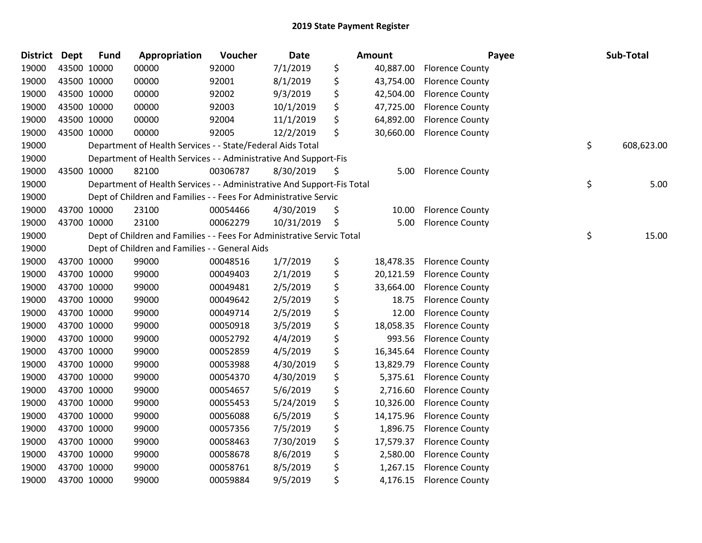| District Dept |             | <b>Fund</b> | Appropriation                                                          | Voucher  | <b>Date</b> | <b>Amount</b>   | Payee                  | Sub-Total        |
|---------------|-------------|-------------|------------------------------------------------------------------------|----------|-------------|-----------------|------------------------|------------------|
| 19000         |             | 43500 10000 | 00000                                                                  | 92000    | 7/1/2019    | \$<br>40,887.00 | <b>Florence County</b> |                  |
| 19000         |             | 43500 10000 | 00000                                                                  | 92001    | 8/1/2019    | \$<br>43,754.00 | <b>Florence County</b> |                  |
| 19000         |             | 43500 10000 | 00000                                                                  | 92002    | 9/3/2019    | \$<br>42,504.00 | <b>Florence County</b> |                  |
| 19000         |             | 43500 10000 | 00000                                                                  | 92003    | 10/1/2019   | \$<br>47,725.00 | <b>Florence County</b> |                  |
| 19000         |             | 43500 10000 | 00000                                                                  | 92004    | 11/1/2019   | \$<br>64,892.00 | <b>Florence County</b> |                  |
| 19000         |             | 43500 10000 | 00000                                                                  | 92005    | 12/2/2019   | \$<br>30,660.00 | <b>Florence County</b> |                  |
| 19000         |             |             | Department of Health Services - - State/Federal Aids Total             |          |             |                 |                        | \$<br>608,623.00 |
| 19000         |             |             | Department of Health Services - - Administrative And Support-Fis       |          |             |                 |                        |                  |
| 19000         |             | 43500 10000 | 82100                                                                  | 00306787 | 8/30/2019   | \$<br>5.00      | <b>Florence County</b> |                  |
| 19000         |             |             | Department of Health Services - - Administrative And Support-Fis Total |          |             |                 |                        | \$<br>5.00       |
| 19000         |             |             | Dept of Children and Families - - Fees For Administrative Servic       |          |             |                 |                        |                  |
| 19000         |             | 43700 10000 | 23100                                                                  | 00054466 | 4/30/2019   | \$<br>10.00     | <b>Florence County</b> |                  |
| 19000         |             | 43700 10000 | 23100                                                                  | 00062279 | 10/31/2019  | \$<br>5.00      | <b>Florence County</b> |                  |
| 19000         |             |             | Dept of Children and Families - - Fees For Administrative Servic Total |          |             |                 |                        | \$<br>15.00      |
| 19000         |             |             | Dept of Children and Families - - General Aids                         |          |             |                 |                        |                  |
| 19000         |             | 43700 10000 | 99000                                                                  | 00048516 | 1/7/2019    | \$<br>18,478.35 | <b>Florence County</b> |                  |
| 19000         |             | 43700 10000 | 99000                                                                  | 00049403 | 2/1/2019    | \$<br>20,121.59 | <b>Florence County</b> |                  |
| 19000         |             | 43700 10000 | 99000                                                                  | 00049481 | 2/5/2019    | \$<br>33,664.00 | <b>Florence County</b> |                  |
| 19000         |             | 43700 10000 | 99000                                                                  | 00049642 | 2/5/2019    | \$<br>18.75     | <b>Florence County</b> |                  |
| 19000         |             | 43700 10000 | 99000                                                                  | 00049714 | 2/5/2019    | \$<br>12.00     | <b>Florence County</b> |                  |
| 19000         |             | 43700 10000 | 99000                                                                  | 00050918 | 3/5/2019    | \$<br>18,058.35 | <b>Florence County</b> |                  |
| 19000         |             | 43700 10000 | 99000                                                                  | 00052792 | 4/4/2019    | \$<br>993.56    | <b>Florence County</b> |                  |
| 19000         |             | 43700 10000 | 99000                                                                  | 00052859 | 4/5/2019    | \$<br>16,345.64 | <b>Florence County</b> |                  |
| 19000         |             | 43700 10000 | 99000                                                                  | 00053988 | 4/30/2019   | \$<br>13,829.79 | <b>Florence County</b> |                  |
| 19000         |             | 43700 10000 | 99000                                                                  | 00054370 | 4/30/2019   | \$<br>5,375.61  | <b>Florence County</b> |                  |
| 19000         |             | 43700 10000 | 99000                                                                  | 00054657 | 5/6/2019    | \$<br>2,716.60  | <b>Florence County</b> |                  |
| 19000         |             | 43700 10000 | 99000                                                                  | 00055453 | 5/24/2019   | \$<br>10,326.00 | <b>Florence County</b> |                  |
| 19000         |             | 43700 10000 | 99000                                                                  | 00056088 | 6/5/2019    | \$<br>14,175.96 | <b>Florence County</b> |                  |
| 19000         |             | 43700 10000 | 99000                                                                  | 00057356 | 7/5/2019    | \$<br>1,896.75  | <b>Florence County</b> |                  |
| 19000         |             | 43700 10000 | 99000                                                                  | 00058463 | 7/30/2019   | \$<br>17,579.37 | <b>Florence County</b> |                  |
| 19000         |             | 43700 10000 | 99000                                                                  | 00058678 | 8/6/2019    | \$<br>2,580.00  | <b>Florence County</b> |                  |
| 19000         |             | 43700 10000 | 99000                                                                  | 00058761 | 8/5/2019    | \$<br>1,267.15  | <b>Florence County</b> |                  |
| 19000         | 43700 10000 |             | 99000                                                                  | 00059884 | 9/5/2019    | \$<br>4,176.15  | <b>Florence County</b> |                  |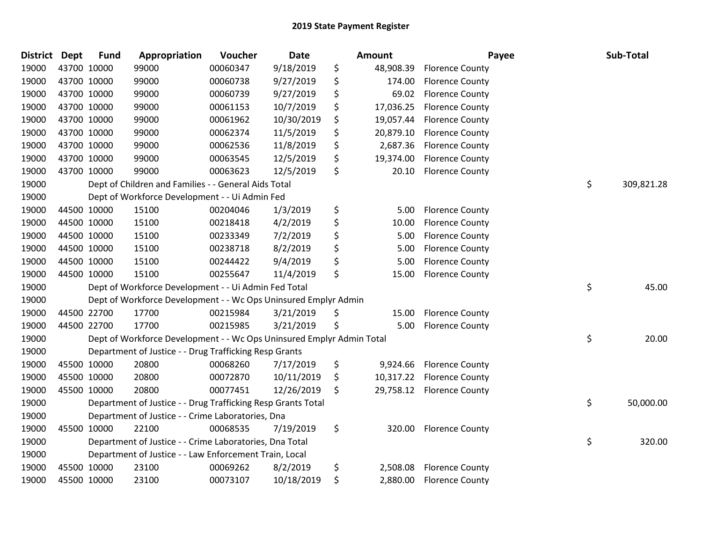| <b>District Dept</b> | <b>Fund</b> | Appropriation                                                         | Voucher  | Date       | <b>Amount</b>   |                        | Payee | Sub-Total  |
|----------------------|-------------|-----------------------------------------------------------------------|----------|------------|-----------------|------------------------|-------|------------|
| 19000                | 43700 10000 | 99000                                                                 | 00060347 | 9/18/2019  | \$<br>48,908.39 | <b>Florence County</b> |       |            |
| 19000                | 43700 10000 | 99000                                                                 | 00060738 | 9/27/2019  | \$<br>174.00    | <b>Florence County</b> |       |            |
| 19000                | 43700 10000 | 99000                                                                 | 00060739 | 9/27/2019  | \$<br>69.02     | <b>Florence County</b> |       |            |
| 19000                | 43700 10000 | 99000                                                                 | 00061153 | 10/7/2019  | \$<br>17,036.25 | <b>Florence County</b> |       |            |
| 19000                | 43700 10000 | 99000                                                                 | 00061962 | 10/30/2019 | \$<br>19,057.44 | <b>Florence County</b> |       |            |
| 19000                | 43700 10000 | 99000                                                                 | 00062374 | 11/5/2019  | \$<br>20,879.10 | <b>Florence County</b> |       |            |
| 19000                | 43700 10000 | 99000                                                                 | 00062536 | 11/8/2019  | \$<br>2,687.36  | <b>Florence County</b> |       |            |
| 19000                | 43700 10000 | 99000                                                                 | 00063545 | 12/5/2019  | \$<br>19,374.00 | <b>Florence County</b> |       |            |
| 19000                | 43700 10000 | 99000                                                                 | 00063623 | 12/5/2019  | \$<br>20.10     | <b>Florence County</b> |       |            |
| 19000                |             | Dept of Children and Families - - General Aids Total                  |          |            |                 |                        | \$    | 309,821.28 |
| 19000                |             | Dept of Workforce Development - - Ui Admin Fed                        |          |            |                 |                        |       |            |
| 19000                | 44500 10000 | 15100                                                                 | 00204046 | 1/3/2019   | \$<br>5.00      | <b>Florence County</b> |       |            |
| 19000                | 44500 10000 | 15100                                                                 | 00218418 | 4/2/2019   | \$<br>10.00     | <b>Florence County</b> |       |            |
| 19000                | 44500 10000 | 15100                                                                 | 00233349 | 7/2/2019   | \$<br>5.00      | <b>Florence County</b> |       |            |
| 19000                | 44500 10000 | 15100                                                                 | 00238718 | 8/2/2019   | \$<br>5.00      | <b>Florence County</b> |       |            |
| 19000                | 44500 10000 | 15100                                                                 | 00244422 | 9/4/2019   | \$<br>5.00      | <b>Florence County</b> |       |            |
| 19000                | 44500 10000 | 15100                                                                 | 00255647 | 11/4/2019  | \$<br>15.00     | <b>Florence County</b> |       |            |
| 19000                |             | Dept of Workforce Development - - Ui Admin Fed Total                  |          |            |                 |                        | \$    | 45.00      |
| 19000                |             | Dept of Workforce Development - - Wc Ops Uninsured Emplyr Admin       |          |            |                 |                        |       |            |
| 19000                | 44500 22700 | 17700                                                                 | 00215984 | 3/21/2019  | \$<br>15.00     | <b>Florence County</b> |       |            |
| 19000                | 44500 22700 | 17700                                                                 | 00215985 | 3/21/2019  | \$<br>5.00      | <b>Florence County</b> |       |            |
| 19000                |             | Dept of Workforce Development - - Wc Ops Uninsured Emplyr Admin Total |          |            |                 |                        | \$    | 20.00      |
| 19000                |             | Department of Justice - - Drug Trafficking Resp Grants                |          |            |                 |                        |       |            |
| 19000                | 45500 10000 | 20800                                                                 | 00068260 | 7/17/2019  | \$<br>9,924.66  | <b>Florence County</b> |       |            |
| 19000                | 45500 10000 | 20800                                                                 | 00072870 | 10/11/2019 | \$<br>10,317.22 | <b>Florence County</b> |       |            |
| 19000                | 45500 10000 | 20800                                                                 | 00077451 | 12/26/2019 | \$<br>29,758.12 | <b>Florence County</b> |       |            |
| 19000                |             | Department of Justice - - Drug Trafficking Resp Grants Total          |          |            |                 |                        | \$    | 50,000.00  |
| 19000                |             | Department of Justice - - Crime Laboratories, Dna                     |          |            |                 |                        |       |            |
| 19000                | 45500 10000 | 22100                                                                 | 00068535 | 7/19/2019  | \$<br>320.00    | <b>Florence County</b> |       |            |
| 19000                |             | Department of Justice - - Crime Laboratories, Dna Total               |          |            |                 |                        | \$    | 320.00     |
| 19000                |             | Department of Justice - - Law Enforcement Train, Local                |          |            |                 |                        |       |            |
| 19000                | 45500 10000 | 23100                                                                 | 00069262 | 8/2/2019   | \$<br>2,508.08  | <b>Florence County</b> |       |            |
| 19000                | 45500 10000 | 23100                                                                 | 00073107 | 10/18/2019 | \$<br>2,880.00  | <b>Florence County</b> |       |            |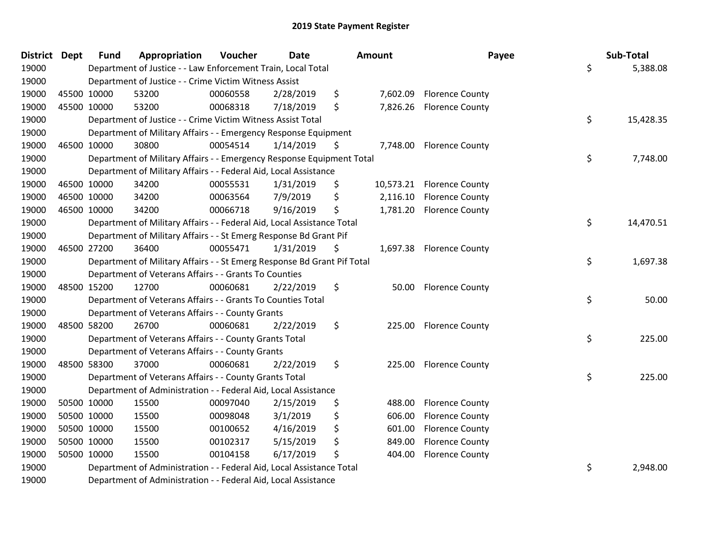| <b>District Dept</b> |             | <b>Fund</b> | Appropriation                                                           | Voucher  | <b>Date</b> | <b>Amount</b>  | Payee                     | Sub-Total       |
|----------------------|-------------|-------------|-------------------------------------------------------------------------|----------|-------------|----------------|---------------------------|-----------------|
| 19000                |             |             | Department of Justice - - Law Enforcement Train, Local Total            |          |             |                |                           | \$<br>5,388.08  |
| 19000                |             |             | Department of Justice - - Crime Victim Witness Assist                   |          |             |                |                           |                 |
| 19000                |             | 45500 10000 | 53200                                                                   | 00060558 | 2/28/2019   | \$             | 7,602.09 Florence County  |                 |
| 19000                |             | 45500 10000 | 53200                                                                   | 00068318 | 7/18/2019   | \$<br>7,826.26 | <b>Florence County</b>    |                 |
| 19000                |             |             | Department of Justice - - Crime Victim Witness Assist Total             |          |             |                |                           | \$<br>15,428.35 |
| 19000                |             |             | Department of Military Affairs - - Emergency Response Equipment         |          |             |                |                           |                 |
| 19000                | 46500 10000 |             | 30800                                                                   | 00054514 | 1/14/2019   | \$             | 7,748.00 Florence County  |                 |
| 19000                |             |             | Department of Military Affairs - - Emergency Response Equipment Total   |          |             |                |                           | \$<br>7,748.00  |
| 19000                |             |             | Department of Military Affairs - - Federal Aid, Local Assistance        |          |             |                |                           |                 |
| 19000                |             | 46500 10000 | 34200                                                                   | 00055531 | 1/31/2019   | \$             | 10,573.21 Florence County |                 |
| 19000                |             | 46500 10000 | 34200                                                                   | 00063564 | 7/9/2019    | \$             | 2,116.10 Florence County  |                 |
| 19000                | 46500 10000 |             | 34200                                                                   | 00066718 | 9/16/2019   | \$             | 1,781.20 Florence County  |                 |
| 19000                |             |             | Department of Military Affairs - - Federal Aid, Local Assistance Total  |          |             |                |                           | \$<br>14,470.51 |
| 19000                |             |             | Department of Military Affairs - - St Emerg Response Bd Grant Pif       |          |             |                |                           |                 |
| 19000                |             | 46500 27200 | 36400                                                                   | 00055471 | 1/31/2019   | \$             | 1,697.38 Florence County  |                 |
| 19000                |             |             | Department of Military Affairs - - St Emerg Response Bd Grant Pif Total |          |             |                |                           | \$<br>1,697.38  |
| 19000                |             |             | Department of Veterans Affairs - - Grants To Counties                   |          |             |                |                           |                 |
| 19000                |             | 48500 15200 | 12700                                                                   | 00060681 | 2/22/2019   | \$             | 50.00 Florence County     |                 |
| 19000                |             |             | Department of Veterans Affairs - - Grants To Counties Total             |          |             |                |                           | \$<br>50.00     |
| 19000                |             |             | Department of Veterans Affairs - - County Grants                        |          |             |                |                           |                 |
| 19000                |             | 48500 58200 | 26700                                                                   | 00060681 | 2/22/2019   | \$             | 225.00 Florence County    |                 |
| 19000                |             |             | Department of Veterans Affairs - - County Grants Total                  |          |             |                |                           | \$<br>225.00    |
| 19000                |             |             | Department of Veterans Affairs - - County Grants                        |          |             |                |                           |                 |
| 19000                |             | 48500 58300 | 37000                                                                   | 00060681 | 2/22/2019   | \$<br>225.00   | <b>Florence County</b>    |                 |
| 19000                |             |             | Department of Veterans Affairs - - County Grants Total                  |          |             |                |                           | \$<br>225.00    |
| 19000                |             |             | Department of Administration - - Federal Aid, Local Assistance          |          |             |                |                           |                 |
| 19000                |             | 50500 10000 | 15500                                                                   | 00097040 | 2/15/2019   | \$<br>488.00   | <b>Florence County</b>    |                 |
| 19000                | 50500 10000 |             | 15500                                                                   | 00098048 | 3/1/2019    | \$<br>606.00   | <b>Florence County</b>    |                 |
| 19000                |             | 50500 10000 | 15500                                                                   | 00100652 | 4/16/2019   | \$<br>601.00   | <b>Florence County</b>    |                 |
| 19000                |             | 50500 10000 | 15500                                                                   | 00102317 | 5/15/2019   | \$<br>849.00   | <b>Florence County</b>    |                 |
| 19000                |             | 50500 10000 | 15500                                                                   | 00104158 | 6/17/2019   | \$<br>404.00   | <b>Florence County</b>    |                 |
| 19000                |             |             | Department of Administration - - Federal Aid, Local Assistance Total    |          |             |                |                           | \$<br>2,948.00  |
| 19000                |             |             | Department of Administration - - Federal Aid, Local Assistance          |          |             |                |                           |                 |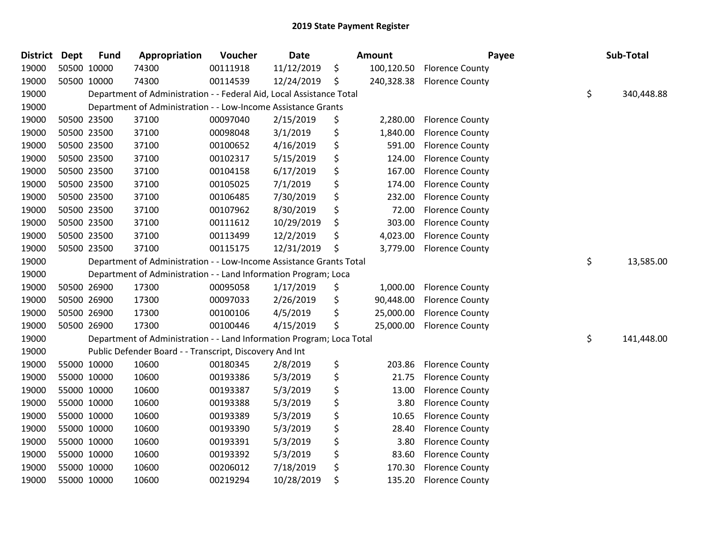| <b>District</b> | <b>Dept</b> | <b>Fund</b> | Appropriation                                                         | Voucher  | <b>Date</b> | <b>Amount</b>    | Payee                  | Sub-Total        |
|-----------------|-------------|-------------|-----------------------------------------------------------------------|----------|-------------|------------------|------------------------|------------------|
| 19000           |             | 50500 10000 | 74300                                                                 | 00111918 | 11/12/2019  | \$<br>100,120.50 | <b>Florence County</b> |                  |
| 19000           |             | 50500 10000 | 74300                                                                 | 00114539 | 12/24/2019  | \$<br>240,328.38 | <b>Florence County</b> |                  |
| 19000           |             |             | Department of Administration - - Federal Aid, Local Assistance Total  |          |             |                  |                        | \$<br>340,448.88 |
| 19000           |             |             | Department of Administration - - Low-Income Assistance Grants         |          |             |                  |                        |                  |
| 19000           |             | 50500 23500 | 37100                                                                 | 00097040 | 2/15/2019   | \$<br>2,280.00   | <b>Florence County</b> |                  |
| 19000           |             | 50500 23500 | 37100                                                                 | 00098048 | 3/1/2019    | \$<br>1,840.00   | <b>Florence County</b> |                  |
| 19000           |             | 50500 23500 | 37100                                                                 | 00100652 | 4/16/2019   | \$<br>591.00     | <b>Florence County</b> |                  |
| 19000           |             | 50500 23500 | 37100                                                                 | 00102317 | 5/15/2019   | \$<br>124.00     | <b>Florence County</b> |                  |
| 19000           |             | 50500 23500 | 37100                                                                 | 00104158 | 6/17/2019   | \$<br>167.00     | <b>Florence County</b> |                  |
| 19000           |             | 50500 23500 | 37100                                                                 | 00105025 | 7/1/2019    | \$<br>174.00     | <b>Florence County</b> |                  |
| 19000           |             | 50500 23500 | 37100                                                                 | 00106485 | 7/30/2019   | \$<br>232.00     | <b>Florence County</b> |                  |
| 19000           |             | 50500 23500 | 37100                                                                 | 00107962 | 8/30/2019   | \$<br>72.00      | <b>Florence County</b> |                  |
| 19000           |             | 50500 23500 | 37100                                                                 | 00111612 | 10/29/2019  | \$<br>303.00     | <b>Florence County</b> |                  |
| 19000           |             | 50500 23500 | 37100                                                                 | 00113499 | 12/2/2019   | \$<br>4,023.00   | <b>Florence County</b> |                  |
| 19000           |             | 50500 23500 | 37100                                                                 | 00115175 | 12/31/2019  | \$<br>3,779.00   | <b>Florence County</b> |                  |
| 19000           |             |             | Department of Administration - - Low-Income Assistance Grants Total   |          |             |                  |                        | \$<br>13,585.00  |
| 19000           |             |             | Department of Administration - - Land Information Program; Loca       |          |             |                  |                        |                  |
| 19000           |             | 50500 26900 | 17300                                                                 | 00095058 | 1/17/2019   | \$<br>1,000.00   | <b>Florence County</b> |                  |
| 19000           |             | 50500 26900 | 17300                                                                 | 00097033 | 2/26/2019   | \$<br>90,448.00  | <b>Florence County</b> |                  |
| 19000           |             | 50500 26900 | 17300                                                                 | 00100106 | 4/5/2019    | \$<br>25,000.00  | <b>Florence County</b> |                  |
| 19000           |             | 50500 26900 | 17300                                                                 | 00100446 | 4/15/2019   | \$<br>25,000.00  | <b>Florence County</b> |                  |
| 19000           |             |             | Department of Administration - - Land Information Program; Loca Total |          |             |                  |                        | \$<br>141,448.00 |
| 19000           |             |             | Public Defender Board - - Transcript, Discovery And Int               |          |             |                  |                        |                  |
| 19000           |             | 55000 10000 | 10600                                                                 | 00180345 | 2/8/2019    | \$<br>203.86     | <b>Florence County</b> |                  |
| 19000           |             | 55000 10000 | 10600                                                                 | 00193386 | 5/3/2019    | \$<br>21.75      | <b>Florence County</b> |                  |
| 19000           |             | 55000 10000 | 10600                                                                 | 00193387 | 5/3/2019    | \$<br>13.00      | <b>Florence County</b> |                  |
| 19000           |             | 55000 10000 | 10600                                                                 | 00193388 | 5/3/2019    | \$<br>3.80       | <b>Florence County</b> |                  |
| 19000           |             | 55000 10000 | 10600                                                                 | 00193389 | 5/3/2019    | \$<br>10.65      | <b>Florence County</b> |                  |
| 19000           |             | 55000 10000 | 10600                                                                 | 00193390 | 5/3/2019    | \$<br>28.40      | <b>Florence County</b> |                  |
| 19000           |             | 55000 10000 | 10600                                                                 | 00193391 | 5/3/2019    | \$<br>3.80       | <b>Florence County</b> |                  |
| 19000           |             | 55000 10000 | 10600                                                                 | 00193392 | 5/3/2019    | \$<br>83.60      | <b>Florence County</b> |                  |
| 19000           |             | 55000 10000 | 10600                                                                 | 00206012 | 7/18/2019   | \$<br>170.30     | <b>Florence County</b> |                  |
| 19000           |             | 55000 10000 | 10600                                                                 | 00219294 | 10/28/2019  | \$<br>135.20     | <b>Florence County</b> |                  |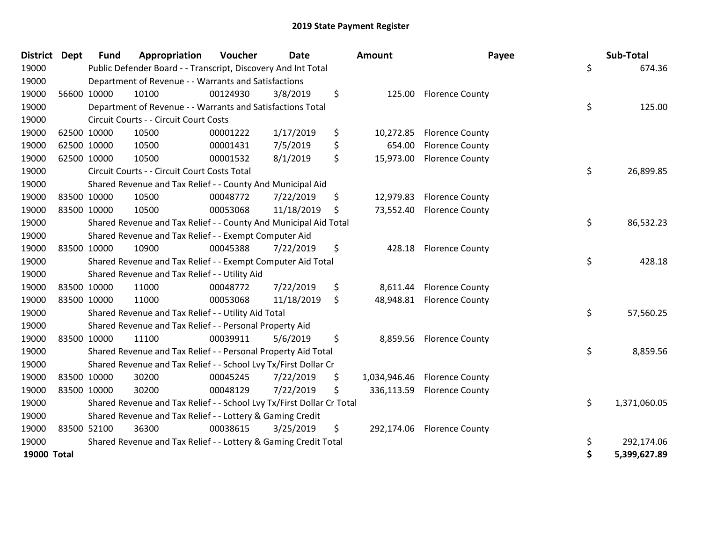| District Dept      |             | <b>Fund</b> | Appropriation                                                         | Voucher  | <b>Date</b> | <b>Amount</b>   | Payee                        | Sub-Total          |
|--------------------|-------------|-------------|-----------------------------------------------------------------------|----------|-------------|-----------------|------------------------------|--------------------|
| 19000              |             |             | Public Defender Board - - Transcript, Discovery And Int Total         |          |             |                 |                              | \$<br>674.36       |
| 19000              |             |             | Department of Revenue - - Warrants and Satisfactions                  |          |             |                 |                              |                    |
| 19000              |             | 56600 10000 | 10100                                                                 | 00124930 | 3/8/2019    | \$<br>125.00    | <b>Florence County</b>       |                    |
| 19000              |             |             | Department of Revenue - - Warrants and Satisfactions Total            |          |             |                 |                              | \$<br>125.00       |
| 19000              |             |             | Circuit Courts - - Circuit Court Costs                                |          |             |                 |                              |                    |
| 19000              |             | 62500 10000 | 10500                                                                 | 00001222 | 1/17/2019   | \$<br>10,272.85 | <b>Florence County</b>       |                    |
| 19000              |             | 62500 10000 | 10500                                                                 | 00001431 | 7/5/2019    | \$<br>654.00    | <b>Florence County</b>       |                    |
| 19000              |             | 62500 10000 | 10500                                                                 | 00001532 | 8/1/2019    | \$<br>15,973.00 | <b>Florence County</b>       |                    |
| 19000              |             |             | Circuit Courts - - Circuit Court Costs Total                          |          |             |                 |                              | \$<br>26,899.85    |
| 19000              |             |             | Shared Revenue and Tax Relief - - County And Municipal Aid            |          |             |                 |                              |                    |
| 19000              |             | 83500 10000 | 10500                                                                 | 00048772 | 7/22/2019   | \$<br>12,979.83 | <b>Florence County</b>       |                    |
| 19000              |             | 83500 10000 | 10500                                                                 | 00053068 | 11/18/2019  | \$<br>73,552.40 | <b>Florence County</b>       |                    |
| 19000              |             |             | Shared Revenue and Tax Relief - - County And Municipal Aid Total      |          |             |                 |                              | \$<br>86,532.23    |
| 19000              |             |             | Shared Revenue and Tax Relief - - Exempt Computer Aid                 |          |             |                 |                              |                    |
| 19000              |             | 83500 10000 | 10900                                                                 | 00045388 | 7/22/2019   | \$<br>428.18    | <b>Florence County</b>       |                    |
| 19000              |             |             | Shared Revenue and Tax Relief - - Exempt Computer Aid Total           |          |             |                 |                              | \$<br>428.18       |
| 19000              |             |             | Shared Revenue and Tax Relief - - Utility Aid                         |          |             |                 |                              |                    |
| 19000              |             | 83500 10000 | 11000                                                                 | 00048772 | 7/22/2019   | \$<br>8,611.44  | <b>Florence County</b>       |                    |
| 19000              |             | 83500 10000 | 11000                                                                 | 00053068 | 11/18/2019  | \$              | 48,948.81 Florence County    |                    |
| 19000              |             |             | Shared Revenue and Tax Relief - - Utility Aid Total                   |          |             |                 |                              | \$<br>57,560.25    |
| 19000              |             |             | Shared Revenue and Tax Relief - - Personal Property Aid               |          |             |                 |                              |                    |
| 19000              |             | 83500 10000 | 11100                                                                 | 00039911 | 5/6/2019    | \$<br>8,859.56  | <b>Florence County</b>       |                    |
| 19000              |             |             | Shared Revenue and Tax Relief - - Personal Property Aid Total         |          |             |                 |                              | \$<br>8,859.56     |
| 19000              |             |             | Shared Revenue and Tax Relief - - School Lvy Tx/First Dollar Cr       |          |             |                 |                              |                    |
| 19000              |             | 83500 10000 | 30200                                                                 | 00045245 | 7/22/2019   | \$              | 1,034,946.46 Florence County |                    |
| 19000              | 83500 10000 |             | 30200                                                                 | 00048129 | 7/22/2019   | \$              | 336,113.59 Florence County   |                    |
| 19000              |             |             | Shared Revenue and Tax Relief - - School Lvy Tx/First Dollar Cr Total |          |             |                 |                              | \$<br>1,371,060.05 |
| 19000              |             |             | Shared Revenue and Tax Relief - - Lottery & Gaming Credit             |          |             |                 |                              |                    |
| 19000              |             | 83500 52100 | 36300                                                                 | 00038615 | 3/25/2019   | \$              | 292,174.06 Florence County   |                    |
| 19000              |             |             | Shared Revenue and Tax Relief - - Lottery & Gaming Credit Total       |          |             |                 |                              | \$<br>292,174.06   |
| <b>19000 Total</b> |             |             |                                                                       |          |             |                 |                              | \$<br>5,399,627.89 |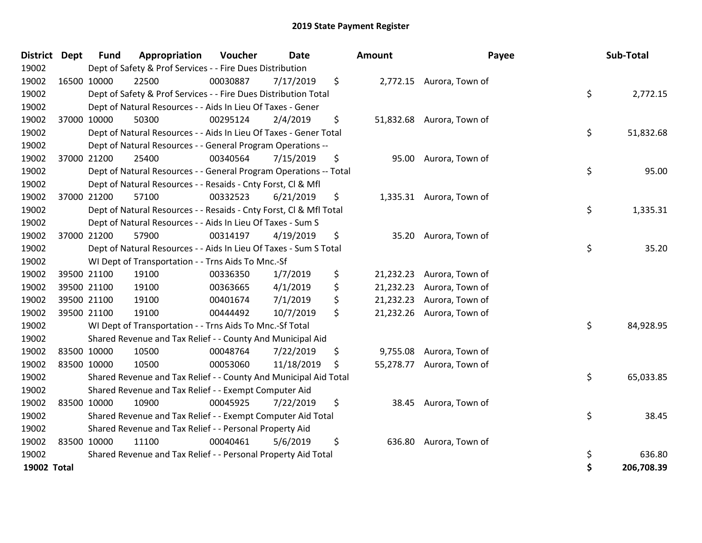| <b>District</b> | <b>Dept</b> | <b>Fund</b> | Appropriation                                                      | Voucher  | <b>Date</b> | <b>Amount</b>   | Payee                     | Sub-Total        |
|-----------------|-------------|-------------|--------------------------------------------------------------------|----------|-------------|-----------------|---------------------------|------------------|
| 19002           |             |             | Dept of Safety & Prof Services - - Fire Dues Distribution          |          |             |                 |                           |                  |
| 19002           | 16500 10000 |             | 22500                                                              | 00030887 | 7/17/2019   | \$              | 2,772.15 Aurora, Town of  |                  |
| 19002           |             |             | Dept of Safety & Prof Services - - Fire Dues Distribution Total    |          |             |                 |                           | \$<br>2,772.15   |
| 19002           |             |             | Dept of Natural Resources - - Aids In Lieu Of Taxes - Gener        |          |             |                 |                           |                  |
| 19002           |             | 37000 10000 | 50300                                                              | 00295124 | 2/4/2019    | \$              | 51,832.68 Aurora, Town of |                  |
| 19002           |             |             | Dept of Natural Resources - - Aids In Lieu Of Taxes - Gener Total  |          |             |                 |                           | \$<br>51,832.68  |
| 19002           |             |             | Dept of Natural Resources - - General Program Operations --        |          |             |                 |                           |                  |
| 19002           | 37000 21200 |             | 25400                                                              | 00340564 | 7/15/2019   | \$              | 95.00 Aurora, Town of     |                  |
| 19002           |             |             | Dept of Natural Resources - - General Program Operations -- Total  |          |             |                 |                           | \$<br>95.00      |
| 19002           |             |             | Dept of Natural Resources - - Resaids - Cnty Forst, CI & Mfl       |          |             |                 |                           |                  |
| 19002           | 37000 21200 |             | 57100                                                              | 00332523 | 6/21/2019   | \$              | 1,335.31 Aurora, Town of  |                  |
| 19002           |             |             | Dept of Natural Resources - - Resaids - Cnty Forst, CI & Mfl Total |          |             |                 |                           | \$<br>1,335.31   |
| 19002           |             |             | Dept of Natural Resources - - Aids In Lieu Of Taxes - Sum S        |          |             |                 |                           |                  |
| 19002           | 37000 21200 |             | 57900                                                              | 00314197 | 4/19/2019   | \$              | 35.20 Aurora, Town of     |                  |
| 19002           |             |             | Dept of Natural Resources - - Aids In Lieu Of Taxes - Sum S Total  |          |             |                 |                           | \$<br>35.20      |
| 19002           |             |             | WI Dept of Transportation - - Trns Aids To Mnc.-Sf                 |          |             |                 |                           |                  |
| 19002           |             | 39500 21100 | 19100                                                              | 00336350 | 1/7/2019    | \$              | 21,232.23 Aurora, Town of |                  |
| 19002           | 39500 21100 |             | 19100                                                              | 00363665 | 4/1/2019    | \$<br>21,232.23 | Aurora, Town of           |                  |
| 19002           | 39500 21100 |             | 19100                                                              | 00401674 | 7/1/2019    | \$<br>21,232.23 | Aurora, Town of           |                  |
| 19002           | 39500 21100 |             | 19100                                                              | 00444492 | 10/7/2019   | \$              | 21,232.26 Aurora, Town of |                  |
| 19002           |             |             | WI Dept of Transportation - - Trns Aids To Mnc.-Sf Total           |          |             |                 |                           | \$<br>84,928.95  |
| 19002           |             |             | Shared Revenue and Tax Relief - - County And Municipal Aid         |          |             |                 |                           |                  |
| 19002           |             | 83500 10000 | 10500                                                              | 00048764 | 7/22/2019   | \$              | 9,755.08 Aurora, Town of  |                  |
| 19002           | 83500 10000 |             | 10500                                                              | 00053060 | 11/18/2019  | \$              | 55,278.77 Aurora, Town of |                  |
| 19002           |             |             | Shared Revenue and Tax Relief - - County And Municipal Aid Total   |          |             |                 |                           | \$<br>65,033.85  |
| 19002           |             |             | Shared Revenue and Tax Relief - - Exempt Computer Aid              |          |             |                 |                           |                  |
| 19002           |             | 83500 10000 | 10900                                                              | 00045925 | 7/22/2019   | \$<br>38.45     | Aurora, Town of           |                  |
| 19002           |             |             | Shared Revenue and Tax Relief - - Exempt Computer Aid Total        |          |             |                 |                           | \$<br>38.45      |
| 19002           |             |             | Shared Revenue and Tax Relief - - Personal Property Aid            |          |             |                 |                           |                  |
| 19002           |             | 83500 10000 | 11100                                                              | 00040461 | 5/6/2019    | \$<br>636.80    | Aurora, Town of           |                  |
| 19002           |             |             | Shared Revenue and Tax Relief - - Personal Property Aid Total      |          |             |                 |                           | \$<br>636.80     |
| 19002 Total     |             |             |                                                                    |          |             |                 |                           | \$<br>206,708.39 |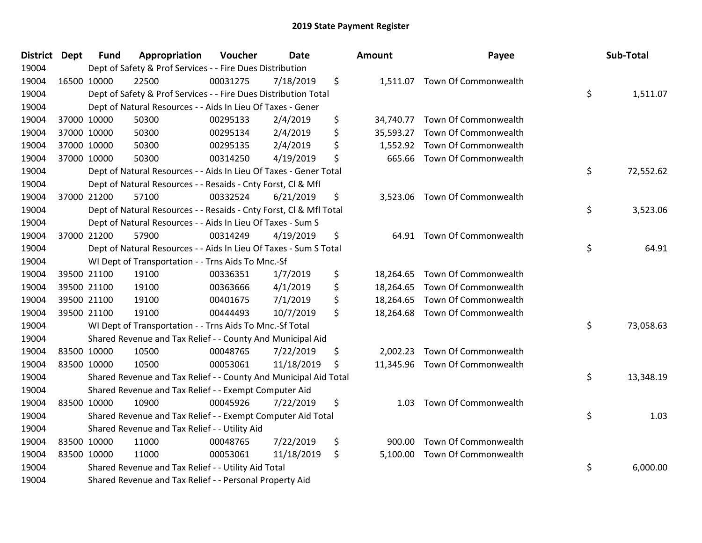| <b>District Dept</b> | <b>Fund</b> | Appropriation                                                      | Voucher  | <b>Date</b> |     | <b>Amount</b> | Payee                          | Sub-Total       |
|----------------------|-------------|--------------------------------------------------------------------|----------|-------------|-----|---------------|--------------------------------|-----------------|
| 19004                |             | Dept of Safety & Prof Services - - Fire Dues Distribution          |          |             |     |               |                                |                 |
| 19004                | 16500 10000 | 22500                                                              | 00031275 | 7/18/2019   | \$  |               | 1,511.07 Town Of Commonwealth  |                 |
| 19004                |             | Dept of Safety & Prof Services - - Fire Dues Distribution Total    |          |             |     |               |                                | \$<br>1,511.07  |
| 19004                |             | Dept of Natural Resources - - Aids In Lieu Of Taxes - Gener        |          |             |     |               |                                |                 |
| 19004                | 37000 10000 | 50300                                                              | 00295133 | 2/4/2019    | \$  | 34,740.77     | Town Of Commonwealth           |                 |
| 19004                | 37000 10000 | 50300                                                              | 00295134 | 2/4/2019    | \$  | 35,593.27     | Town Of Commonwealth           |                 |
| 19004                | 37000 10000 | 50300                                                              | 00295135 | 2/4/2019    | \$  | 1,552.92      | Town Of Commonwealth           |                 |
| 19004                | 37000 10000 | 50300                                                              | 00314250 | 4/19/2019   | \$  | 665.66        | Town Of Commonwealth           |                 |
| 19004                |             | Dept of Natural Resources - - Aids In Lieu Of Taxes - Gener Total  |          |             |     |               |                                | \$<br>72,552.62 |
| 19004                |             | Dept of Natural Resources - - Resaids - Cnty Forst, Cl & Mfl       |          |             |     |               |                                |                 |
| 19004                | 37000 21200 | 57100                                                              | 00332524 | 6/21/2019   | \$  |               | 3,523.06 Town Of Commonwealth  |                 |
| 19004                |             | Dept of Natural Resources - - Resaids - Cnty Forst, Cl & Mfl Total |          |             |     |               |                                | \$<br>3,523.06  |
| 19004                |             | Dept of Natural Resources - - Aids In Lieu Of Taxes - Sum S        |          |             |     |               |                                |                 |
| 19004                | 37000 21200 | 57900                                                              | 00314249 | 4/19/2019   | \$  |               | 64.91 Town Of Commonwealth     |                 |
| 19004                |             | Dept of Natural Resources - - Aids In Lieu Of Taxes - Sum S Total  |          |             |     |               |                                | \$<br>64.91     |
| 19004                |             | WI Dept of Transportation - - Trns Aids To Mnc.-Sf                 |          |             |     |               |                                |                 |
| 19004                | 39500 21100 | 19100                                                              | 00336351 | 1/7/2019    | \$  | 18,264.65     | Town Of Commonwealth           |                 |
| 19004                | 39500 21100 | 19100                                                              | 00363666 | 4/1/2019    | \$  |               | 18,264.65 Town Of Commonwealth |                 |
| 19004                | 39500 21100 | 19100                                                              | 00401675 | 7/1/2019    | \$  | 18,264.65     | Town Of Commonwealth           |                 |
| 19004                | 39500 21100 | 19100                                                              | 00444493 | 10/7/2019   | \$  | 18,264.68     | Town Of Commonwealth           |                 |
| 19004                |             | WI Dept of Transportation - - Trns Aids To Mnc.-Sf Total           |          |             |     |               |                                | \$<br>73,058.63 |
| 19004                |             | Shared Revenue and Tax Relief - - County And Municipal Aid         |          |             |     |               |                                |                 |
| 19004                | 83500 10000 | 10500                                                              | 00048765 | 7/22/2019   | \$  | 2,002.23      | Town Of Commonwealth           |                 |
| 19004                | 83500 10000 | 10500                                                              | 00053061 | 11/18/2019  | \$. |               | 11,345.96 Town Of Commonwealth |                 |
| 19004                |             | Shared Revenue and Tax Relief - - County And Municipal Aid Total   |          |             |     |               |                                | \$<br>13,348.19 |
| 19004                |             | Shared Revenue and Tax Relief - - Exempt Computer Aid              |          |             |     |               |                                |                 |
| 19004                | 83500 10000 | 10900                                                              | 00045926 | 7/22/2019   | \$  | 1.03          | Town Of Commonwealth           |                 |
| 19004                |             | Shared Revenue and Tax Relief - - Exempt Computer Aid Total        |          |             |     |               |                                | \$<br>1.03      |
| 19004                |             | Shared Revenue and Tax Relief - - Utility Aid                      |          |             |     |               |                                |                 |
| 19004                | 83500 10000 | 11000                                                              | 00048765 | 7/22/2019   | \$  | 900.00        | Town Of Commonwealth           |                 |
| 19004                | 83500 10000 | 11000                                                              | 00053061 | 11/18/2019  | \$  | 5,100.00      | Town Of Commonwealth           |                 |
| 19004                |             | Shared Revenue and Tax Relief - - Utility Aid Total                |          |             |     |               |                                | \$<br>6,000.00  |
| 19004                |             | Shared Revenue and Tax Relief - - Personal Property Aid            |          |             |     |               |                                |                 |

| ounτ      | rayee                          | Sub-Total       |
|-----------|--------------------------------|-----------------|
|           | 1,511.07 Town Of Commonwealth  | \$<br>1,511.07  |
| 34,740.77 | Town Of Commonwealth           |                 |
|           | 35,593.27 Town Of Commonwealth |                 |
| 1,552.92  | Town Of Commonwealth           |                 |
| 665.66    | Town Of Commonwealth           |                 |
|           |                                | \$<br>72,552.62 |
| 3,523.06  | Town Of Commonwealth           |                 |
|           |                                | \$<br>3,523.06  |
| 64.91     | Town Of Commonwealth           | \$<br>64.91     |
| 18,264.65 | Town Of Commonwealth           |                 |
| 18,264.65 | Town Of Commonwealth           |                 |
|           | 18,264.65 Town Of Commonwealth |                 |
| 18,264.68 | Town Of Commonwealth           |                 |
|           |                                | \$<br>73,058.63 |
| 2,002.23  | Town Of Commonwealth           |                 |
| 11,345.96 | Town Of Commonwealth           | \$              |
|           |                                | 13,348.19       |
| 1.03      | Town Of Commonwealth           |                 |
|           |                                | \$<br>1.03      |
| 900.00    | Town Of Commonwealth           |                 |
| 5,100.00  | Town Of Commonwealth           | \$              |
|           |                                | 6,000.00        |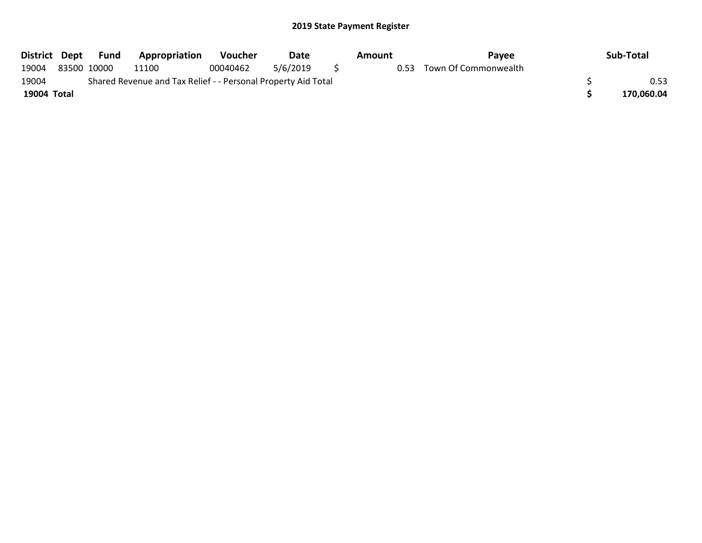|             |                                                               | District Dept Fund | Appropriation | Voucher  | Date     |  | Amount | <b>Pavee</b>         |  | Sub-Total  |
|-------------|---------------------------------------------------------------|--------------------|---------------|----------|----------|--|--------|----------------------|--|------------|
| 19004       |                                                               | 83500 10000        | 11100         | 00040462 | 5/6/2019 |  | 0.53   | Town Of Commonwealth |  |            |
| 19004       | Shared Revenue and Tax Relief - - Personal Property Aid Total |                    |               |          |          |  |        |                      |  |            |
| 19004 Total |                                                               |                    |               |          |          |  |        |                      |  | 170,060.04 |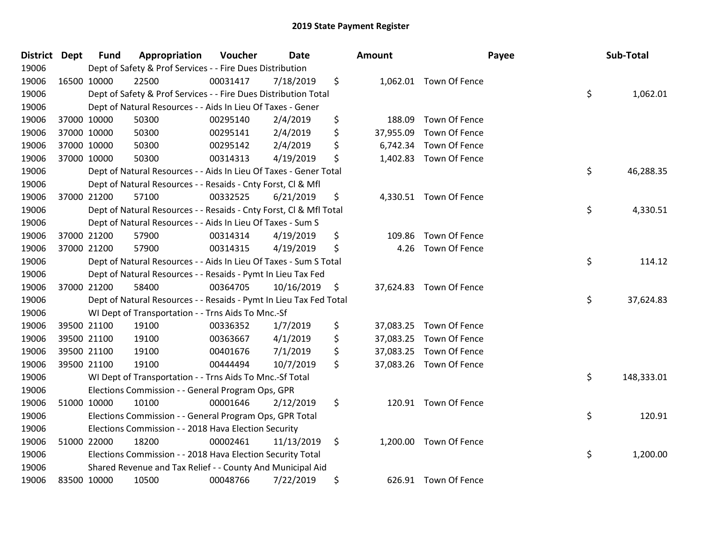| District Dept |             | <b>Fund</b> | Appropriation                                                      | Voucher  | <b>Date</b> | <b>Amount</b>   |                         | Payee | Sub-Total |            |
|---------------|-------------|-------------|--------------------------------------------------------------------|----------|-------------|-----------------|-------------------------|-------|-----------|------------|
| 19006         |             |             | Dept of Safety & Prof Services - - Fire Dues Distribution          |          |             |                 |                         |       |           |            |
| 19006         |             | 16500 10000 | 22500                                                              | 00031417 | 7/18/2019   | \$              | 1,062.01 Town Of Fence  |       |           |            |
| 19006         |             |             | Dept of Safety & Prof Services - - Fire Dues Distribution Total    |          |             |                 |                         | \$    |           | 1,062.01   |
| 19006         |             |             | Dept of Natural Resources - - Aids In Lieu Of Taxes - Gener        |          |             |                 |                         |       |           |            |
| 19006         |             | 37000 10000 | 50300                                                              | 00295140 | 2/4/2019    | \$<br>188.09    | Town Of Fence           |       |           |            |
| 19006         |             | 37000 10000 | 50300                                                              | 00295141 | 2/4/2019    | \$<br>37,955.09 | Town Of Fence           |       |           |            |
| 19006         |             | 37000 10000 | 50300                                                              | 00295142 | 2/4/2019    | \$<br>6,742.34  | Town Of Fence           |       |           |            |
| 19006         |             | 37000 10000 | 50300                                                              | 00314313 | 4/19/2019   | \$<br>1,402.83  | Town Of Fence           |       |           |            |
| 19006         |             |             | Dept of Natural Resources - - Aids In Lieu Of Taxes - Gener Total  |          |             |                 |                         | \$    |           | 46,288.35  |
| 19006         |             |             | Dept of Natural Resources - - Resaids - Cnty Forst, Cl & Mfl       |          |             |                 |                         |       |           |            |
| 19006         |             | 37000 21200 | 57100                                                              | 00332525 | 6/21/2019   | \$              | 4,330.51 Town Of Fence  |       |           |            |
| 19006         |             |             | Dept of Natural Resources - - Resaids - Cnty Forst, Cl & Mfl Total |          |             |                 |                         | \$    |           | 4,330.51   |
| 19006         |             |             | Dept of Natural Resources - - Aids In Lieu Of Taxes - Sum S        |          |             |                 |                         |       |           |            |
| 19006         |             | 37000 21200 | 57900                                                              | 00314314 | 4/19/2019   | \$<br>109.86    | Town Of Fence           |       |           |            |
| 19006         |             | 37000 21200 | 57900                                                              | 00314315 | 4/19/2019   | \$<br>4.26      | Town Of Fence           |       |           |            |
| 19006         |             |             | Dept of Natural Resources - - Aids In Lieu Of Taxes - Sum S Total  |          |             |                 |                         | \$    |           | 114.12     |
| 19006         |             |             | Dept of Natural Resources - - Resaids - Pymt In Lieu Tax Fed       |          |             |                 |                         |       |           |            |
| 19006         |             | 37000 21200 | 58400                                                              | 00364705 | 10/16/2019  | \$              | 37,624.83 Town Of Fence |       |           |            |
| 19006         |             |             | Dept of Natural Resources - - Resaids - Pymt In Lieu Tax Fed Total |          |             |                 |                         | \$    |           | 37,624.83  |
| 19006         |             |             | WI Dept of Transportation - - Trns Aids To Mnc.-Sf                 |          |             |                 |                         |       |           |            |
| 19006         |             | 39500 21100 | 19100                                                              | 00336352 | 1/7/2019    | \$<br>37,083.25 | Town Of Fence           |       |           |            |
| 19006         |             | 39500 21100 | 19100                                                              | 00363667 | 4/1/2019    | \$<br>37,083.25 | Town Of Fence           |       |           |            |
| 19006         |             | 39500 21100 | 19100                                                              | 00401676 | 7/1/2019    | \$              | 37,083.25 Town Of Fence |       |           |            |
| 19006         |             | 39500 21100 | 19100                                                              | 00444494 | 10/7/2019   | \$              | 37,083.26 Town Of Fence |       |           |            |
| 19006         |             |             | WI Dept of Transportation - - Trns Aids To Mnc.-Sf Total           |          |             |                 |                         | \$    |           | 148,333.01 |
| 19006         |             |             | Elections Commission - - General Program Ops, GPR                  |          |             |                 |                         |       |           |            |
| 19006         |             | 51000 10000 | 10100                                                              | 00001646 | 2/12/2019   | \$<br>120.91    | Town Of Fence           |       |           |            |
| 19006         |             |             | Elections Commission - - General Program Ops, GPR Total            |          |             |                 |                         | \$    |           | 120.91     |
| 19006         |             |             | Elections Commission - - 2018 Hava Election Security               |          |             |                 |                         |       |           |            |
| 19006         |             | 51000 22000 | 18200                                                              | 00002461 | 11/13/2019  | \$<br>1,200.00  | Town Of Fence           |       |           |            |
| 19006         |             |             | Elections Commission - - 2018 Hava Election Security Total         |          |             |                 |                         | \$    |           | 1,200.00   |
| 19006         |             |             | Shared Revenue and Tax Relief - - County And Municipal Aid         |          |             |                 |                         |       |           |            |
| 19006         | 83500 10000 |             | 10500                                                              | 00048766 | 7/22/2019   | \$              | 626.91 Town Of Fence    |       |           |            |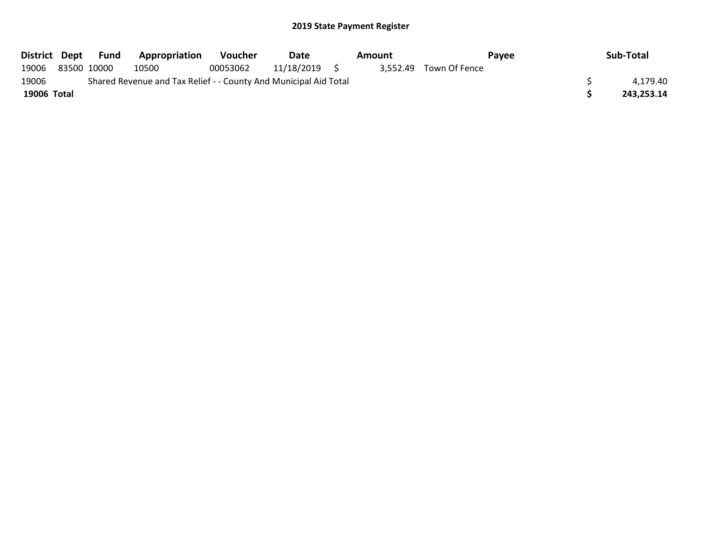|             | District Dept Fund | Appropriation                                                    | Voucher  | Date       | Amount |                        | <b>Pavee</b> | Sub-Total  |
|-------------|--------------------|------------------------------------------------------------------|----------|------------|--------|------------------------|--------------|------------|
| 19006       | 83500 10000        | 10500                                                            | 00053062 | 11/18/2019 |        | 3.552.49 Town Of Fence |              |            |
| 19006       |                    | Shared Revenue and Tax Relief - - County And Municipal Aid Total |          |            |        |                        |              | 4.179.40   |
| 19006 Total |                    |                                                                  |          |            |        |                        |              | 243.253.14 |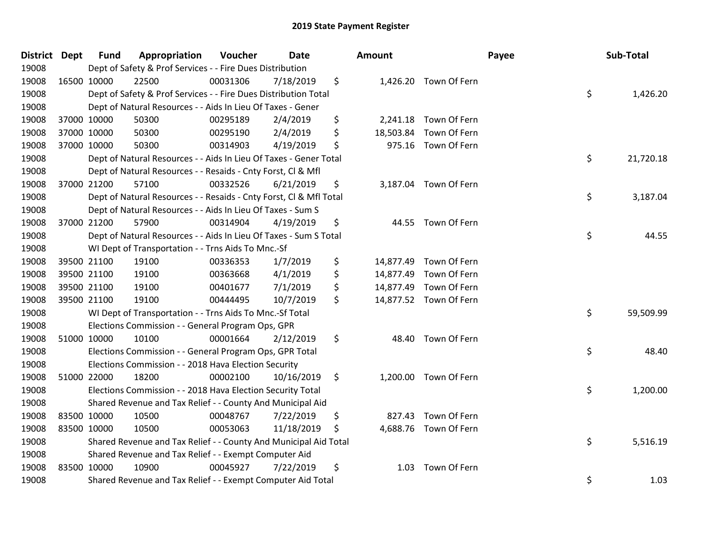| District Dept | <b>Fund</b> | Appropriation                                                      | Voucher  | Date       | <b>Amount</b>   |                        | Payee | Sub-Total |
|---------------|-------------|--------------------------------------------------------------------|----------|------------|-----------------|------------------------|-------|-----------|
| 19008         |             | Dept of Safety & Prof Services - - Fire Dues Distribution          |          |            |                 |                        |       |           |
| 19008         | 16500 10000 | 22500                                                              | 00031306 | 7/18/2019  | \$              | 1,426.20 Town Of Fern  |       |           |
| 19008         |             | Dept of Safety & Prof Services - - Fire Dues Distribution Total    |          |            |                 |                        | \$    | 1,426.20  |
| 19008         |             | Dept of Natural Resources - - Aids In Lieu Of Taxes - Gener        |          |            |                 |                        |       |           |
| 19008         | 37000 10000 | 50300                                                              | 00295189 | 2/4/2019   | \$<br>2,241.18  | Town Of Fern           |       |           |
| 19008         | 37000 10000 | 50300                                                              | 00295190 | 2/4/2019   | \$<br>18,503.84 | Town Of Fern           |       |           |
| 19008         | 37000 10000 | 50300                                                              | 00314903 | 4/19/2019  | \$<br>975.16    | Town Of Fern           |       |           |
| 19008         |             | Dept of Natural Resources - - Aids In Lieu Of Taxes - Gener Total  |          |            |                 |                        | \$    | 21,720.18 |
| 19008         |             | Dept of Natural Resources - - Resaids - Cnty Forst, Cl & Mfl       |          |            |                 |                        |       |           |
| 19008         | 37000 21200 | 57100                                                              | 00332526 | 6/21/2019  | \$              | 3,187.04 Town Of Fern  |       |           |
| 19008         |             | Dept of Natural Resources - - Resaids - Cnty Forst, Cl & Mfl Total |          |            |                 |                        | \$    | 3,187.04  |
| 19008         |             | Dept of Natural Resources - - Aids In Lieu Of Taxes - Sum S        |          |            |                 |                        |       |           |
| 19008         | 37000 21200 | 57900                                                              | 00314904 | 4/19/2019  | \$              | 44.55 Town Of Fern     |       |           |
| 19008         |             | Dept of Natural Resources - - Aids In Lieu Of Taxes - Sum S Total  |          |            |                 |                        | \$    | 44.55     |
| 19008         |             | WI Dept of Transportation - - Trns Aids To Mnc.-Sf                 |          |            |                 |                        |       |           |
| 19008         | 39500 21100 | 19100                                                              | 00336353 | 1/7/2019   | \$<br>14,877.49 | Town Of Fern           |       |           |
| 19008         | 39500 21100 | 19100                                                              | 00363668 | 4/1/2019   | \$              | 14,877.49 Town Of Fern |       |           |
| 19008         | 39500 21100 | 19100                                                              | 00401677 | 7/1/2019   | \$              | 14,877.49 Town Of Fern |       |           |
| 19008         | 39500 21100 | 19100                                                              | 00444495 | 10/7/2019  | \$              | 14,877.52 Town Of Fern |       |           |
| 19008         |             | WI Dept of Transportation - - Trns Aids To Mnc.-Sf Total           |          |            |                 |                        | \$    | 59,509.99 |
| 19008         |             | Elections Commission - - General Program Ops, GPR                  |          |            |                 |                        |       |           |
| 19008         | 51000 10000 | 10100                                                              | 00001664 | 2/12/2019  | \$              | 48.40 Town Of Fern     |       |           |
| 19008         |             | Elections Commission - - General Program Ops, GPR Total            |          |            |                 |                        | \$    | 48.40     |
| 19008         |             | Elections Commission - - 2018 Hava Election Security               |          |            |                 |                        |       |           |
| 19008         | 51000 22000 | 18200                                                              | 00002100 | 10/16/2019 | \$              | 1,200.00 Town Of Fern  |       |           |
| 19008         |             | Elections Commission - - 2018 Hava Election Security Total         |          |            |                 |                        | \$    | 1,200.00  |
| 19008         |             | Shared Revenue and Tax Relief - - County And Municipal Aid         |          |            |                 |                        |       |           |
| 19008         | 83500 10000 | 10500                                                              | 00048767 | 7/22/2019  | \$<br>827.43    | Town Of Fern           |       |           |
| 19008         | 83500 10000 | 10500                                                              | 00053063 | 11/18/2019 | \$              | 4,688.76 Town Of Fern  |       |           |
| 19008         |             | Shared Revenue and Tax Relief - - County And Municipal Aid Total   |          |            |                 |                        | \$    | 5,516.19  |
| 19008         |             | Shared Revenue and Tax Relief - - Exempt Computer Aid              |          |            |                 |                        |       |           |
| 19008         | 83500 10000 | 10900                                                              | 00045927 | 7/22/2019  | \$<br>1.03      | Town Of Fern           |       |           |
| 19008         |             | Shared Revenue and Tax Relief - - Exempt Computer Aid Total        |          |            |                 |                        | \$    | 1.03      |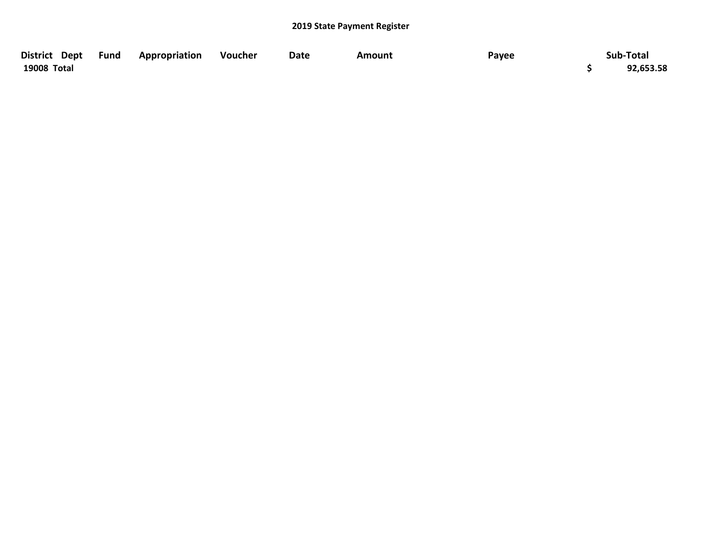| District Dept | <b>Fund</b> | Appropriation | Voucher | <b>Date</b> | Amount | Payee | Sub-Total |
|---------------|-------------|---------------|---------|-------------|--------|-------|-----------|
| 19008 Total   |             |               |         |             |        |       | 92,653.58 |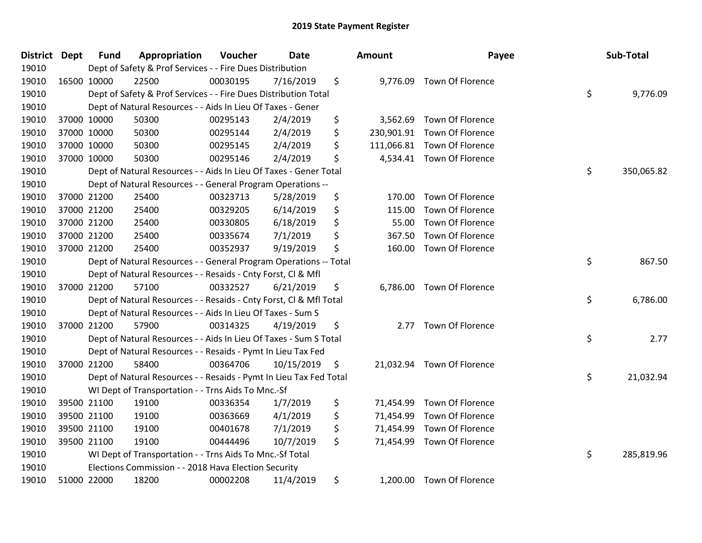| <b>District Dept</b> | <b>Fund</b> | Appropriation                                                      | Voucher  | <b>Date</b> | <b>Amount</b>    | Payee                      | Sub-Total        |
|----------------------|-------------|--------------------------------------------------------------------|----------|-------------|------------------|----------------------------|------------------|
| 19010                |             | Dept of Safety & Prof Services - - Fire Dues Distribution          |          |             |                  |                            |                  |
| 19010                | 16500 10000 | 22500                                                              | 00030195 | 7/16/2019   | \$<br>9,776.09   | Town Of Florence           |                  |
| 19010                |             | Dept of Safety & Prof Services - - Fire Dues Distribution Total    |          |             |                  |                            | \$<br>9,776.09   |
| 19010                |             | Dept of Natural Resources - - Aids In Lieu Of Taxes - Gener        |          |             |                  |                            |                  |
| 19010                | 37000 10000 | 50300                                                              | 00295143 | 2/4/2019    | \$<br>3,562.69   | Town Of Florence           |                  |
| 19010                | 37000 10000 | 50300                                                              | 00295144 | 2/4/2019    | \$<br>230,901.91 | Town Of Florence           |                  |
| 19010                | 37000 10000 | 50300                                                              | 00295145 | 2/4/2019    | \$<br>111,066.81 | Town Of Florence           |                  |
| 19010                | 37000 10000 | 50300                                                              | 00295146 | 2/4/2019    | \$<br>4,534.41   | Town Of Florence           |                  |
| 19010                |             | Dept of Natural Resources - - Aids In Lieu Of Taxes - Gener Total  |          |             |                  |                            | \$<br>350,065.82 |
| 19010                |             | Dept of Natural Resources - - General Program Operations --        |          |             |                  |                            |                  |
| 19010                | 37000 21200 | 25400                                                              | 00323713 | 5/28/2019   | \$<br>170.00     | Town Of Florence           |                  |
| 19010                | 37000 21200 | 25400                                                              | 00329205 | 6/14/2019   | \$<br>115.00     | Town Of Florence           |                  |
| 19010                | 37000 21200 | 25400                                                              | 00330805 | 6/18/2019   | \$<br>55.00      | Town Of Florence           |                  |
| 19010                | 37000 21200 | 25400                                                              | 00335674 | 7/1/2019    | \$<br>367.50     | Town Of Florence           |                  |
| 19010                | 37000 21200 | 25400                                                              | 00352937 | 9/19/2019   | \$<br>160.00     | Town Of Florence           |                  |
| 19010                |             | Dept of Natural Resources - - General Program Operations -- Total  |          |             |                  |                            | \$<br>867.50     |
| 19010                |             | Dept of Natural Resources - - Resaids - Cnty Forst, CI & Mfl       |          |             |                  |                            |                  |
| 19010                | 37000 21200 | 57100                                                              | 00332527 | 6/21/2019   | \$<br>6,786.00   | Town Of Florence           |                  |
| 19010                |             | Dept of Natural Resources - - Resaids - Cnty Forst, Cl & Mfl Total |          |             |                  |                            | \$<br>6,786.00   |
| 19010                |             | Dept of Natural Resources - - Aids In Lieu Of Taxes - Sum S        |          |             |                  |                            |                  |
| 19010                | 37000 21200 | 57900                                                              | 00314325 | 4/19/2019   | \$<br>2.77       | Town Of Florence           |                  |
| 19010                |             | Dept of Natural Resources - - Aids In Lieu Of Taxes - Sum S Total  |          |             |                  |                            | \$<br>2.77       |
| 19010                |             | Dept of Natural Resources - - Resaids - Pymt In Lieu Tax Fed       |          |             |                  |                            |                  |
| 19010                | 37000 21200 | 58400                                                              | 00364706 | 10/15/2019  | \$               | 21,032.94 Town Of Florence |                  |
| 19010                |             | Dept of Natural Resources - - Resaids - Pymt In Lieu Tax Fed Total |          |             |                  |                            | \$<br>21,032.94  |
| 19010                |             | WI Dept of Transportation - - Trns Aids To Mnc.-Sf                 |          |             |                  |                            |                  |
| 19010                | 39500 21100 | 19100                                                              | 00336354 | 1/7/2019    | \$<br>71,454.99  | Town Of Florence           |                  |
| 19010                | 39500 21100 | 19100                                                              | 00363669 | 4/1/2019    | \$<br>71,454.99  | Town Of Florence           |                  |
| 19010                | 39500 21100 | 19100                                                              | 00401678 | 7/1/2019    | \$<br>71,454.99  | Town Of Florence           |                  |
| 19010                | 39500 21100 | 19100                                                              | 00444496 | 10/7/2019   | \$<br>71,454.99  | Town Of Florence           |                  |
| 19010                |             | WI Dept of Transportation - - Trns Aids To Mnc.-Sf Total           |          |             |                  |                            | \$<br>285,819.96 |
| 19010                |             | Elections Commission - - 2018 Hava Election Security               |          |             |                  |                            |                  |
| 19010                | 51000 22000 | 18200                                                              | 00002208 | 11/4/2019   | \$               | 1,200.00 Town Of Florence  |                  |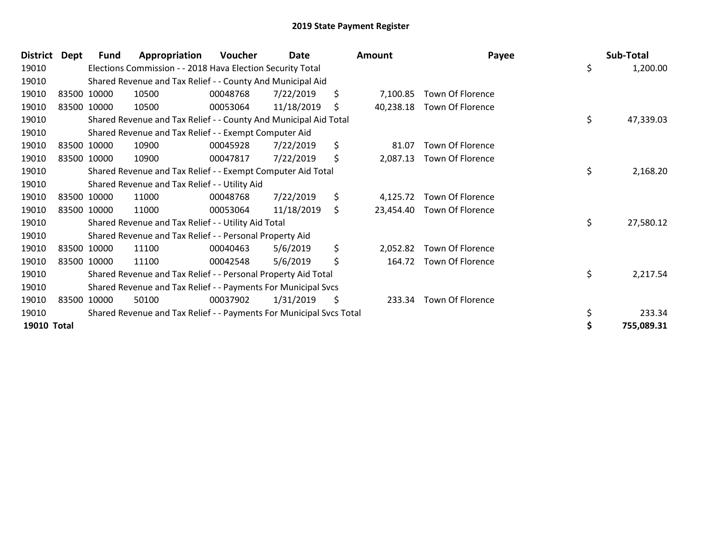| <b>District</b> | Dept | <b>Fund</b> | Appropriation                                                       | Voucher  | Date       | <b>Amount</b>   | Payee                   | Sub-Total       |
|-----------------|------|-------------|---------------------------------------------------------------------|----------|------------|-----------------|-------------------------|-----------------|
| 19010           |      |             | Elections Commission - - 2018 Hava Election Security Total          |          |            |                 |                         | \$<br>1,200.00  |
| 19010           |      |             | Shared Revenue and Tax Relief - - County And Municipal Aid          |          |            |                 |                         |                 |
| 19010           |      | 83500 10000 | 10500                                                               | 00048768 | 7/22/2019  | \$<br>7,100.85  | Town Of Florence        |                 |
| 19010           |      | 83500 10000 | 10500                                                               | 00053064 | 11/18/2019 | \$<br>40,238.18 | <b>Town Of Florence</b> |                 |
| 19010           |      |             | Shared Revenue and Tax Relief - - County And Municipal Aid Total    |          |            |                 |                         | \$<br>47,339.03 |
| 19010           |      |             | Shared Revenue and Tax Relief - - Exempt Computer Aid               |          |            |                 |                         |                 |
| 19010           |      | 83500 10000 | 10900                                                               | 00045928 | 7/22/2019  | \$<br>81.07     | Town Of Florence        |                 |
| 19010           |      | 83500 10000 | 10900                                                               | 00047817 | 7/22/2019  | \$<br>2,087.13  | Town Of Florence        |                 |
| 19010           |      |             | Shared Revenue and Tax Relief - - Exempt Computer Aid Total         |          |            |                 |                         | \$<br>2,168.20  |
| 19010           |      |             | Shared Revenue and Tax Relief - - Utility Aid                       |          |            |                 |                         |                 |
| 19010           |      | 83500 10000 | 11000                                                               | 00048768 | 7/22/2019  | \$<br>4,125.72  | Town Of Florence        |                 |
| 19010           |      | 83500 10000 | 11000                                                               | 00053064 | 11/18/2019 | \$<br>23,454.40 | Town Of Florence        |                 |
| 19010           |      |             | Shared Revenue and Tax Relief - - Utility Aid Total                 |          |            |                 |                         | \$<br>27,580.12 |
| 19010           |      |             | Shared Revenue and Tax Relief - - Personal Property Aid             |          |            |                 |                         |                 |
| 19010           |      | 83500 10000 | 11100                                                               | 00040463 | 5/6/2019   | \$<br>2,052.82  | Town Of Florence        |                 |
| 19010           |      | 83500 10000 | 11100                                                               | 00042548 | 5/6/2019   | \$<br>164.72    | <b>Town Of Florence</b> |                 |
| 19010           |      |             | Shared Revenue and Tax Relief - - Personal Property Aid Total       |          |            |                 |                         | \$<br>2,217.54  |
| 19010           |      |             | Shared Revenue and Tax Relief - - Payments For Municipal Svcs       |          |            |                 |                         |                 |
| 19010           |      | 83500 10000 | 50100                                                               | 00037902 | 1/31/2019  | \$<br>233.34    | <b>Town Of Florence</b> |                 |
| 19010           |      |             | Shared Revenue and Tax Relief - - Payments For Municipal Svcs Total |          |            |                 |                         | \$<br>233.34    |
| 19010 Total     |      |             |                                                                     |          |            |                 |                         | 755,089.31      |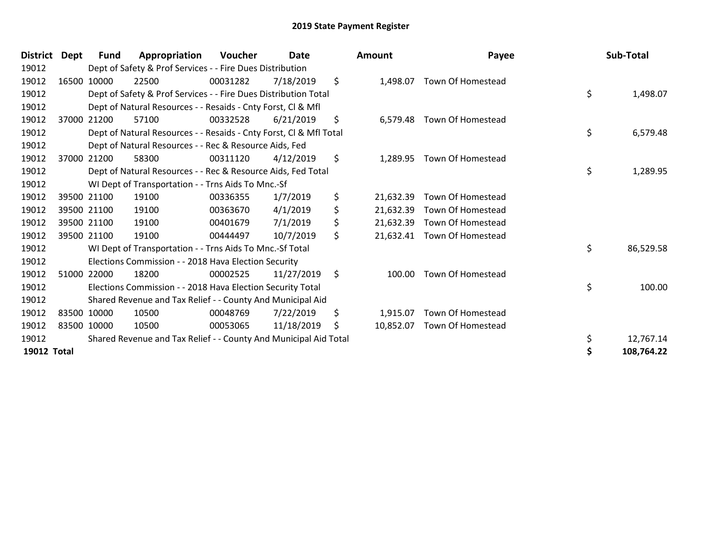| <b>District</b> | Dept        | Fund        | Appropriation                                                      | Voucher  | <b>Date</b> | Amount          | Payee                       | Sub-Total       |
|-----------------|-------------|-------------|--------------------------------------------------------------------|----------|-------------|-----------------|-----------------------------|-----------------|
| 19012           |             |             | Dept of Safety & Prof Services - - Fire Dues Distribution          |          |             |                 |                             |                 |
| 19012           |             | 16500 10000 | 22500                                                              | 00031282 | 7/18/2019   | \$<br>1,498.07  | Town Of Homestead           |                 |
| 19012           |             |             | Dept of Safety & Prof Services - - Fire Dues Distribution Total    |          |             |                 |                             | \$<br>1,498.07  |
| 19012           |             |             | Dept of Natural Resources - - Resaids - Cnty Forst, Cl & Mfl       |          |             |                 |                             |                 |
| 19012           |             | 37000 21200 | 57100                                                              | 00332528 | 6/21/2019   | \$<br>6,579.48  | Town Of Homestead           |                 |
| 19012           |             |             | Dept of Natural Resources - - Resaids - Cnty Forst, Cl & Mfl Total |          |             |                 |                             | \$<br>6,579.48  |
| 19012           |             |             | Dept of Natural Resources - - Rec & Resource Aids, Fed             |          |             |                 |                             |                 |
| 19012           | 37000 21200 |             | 58300                                                              | 00311120 | 4/12/2019   | \$<br>1,289.95  | Town Of Homestead           |                 |
| 19012           |             |             | Dept of Natural Resources - - Rec & Resource Aids, Fed Total       |          |             |                 |                             | \$<br>1,289.95  |
| 19012           |             |             | WI Dept of Transportation - - Trns Aids To Mnc.-Sf                 |          |             |                 |                             |                 |
| 19012           | 39500 21100 |             | 19100                                                              | 00336355 | 1/7/2019    | \$<br>21,632.39 | Town Of Homestead           |                 |
| 19012           |             | 39500 21100 | 19100                                                              | 00363670 | 4/1/2019    | \$<br>21,632.39 | Town Of Homestead           |                 |
| 19012           | 39500 21100 |             | 19100                                                              | 00401679 | 7/1/2019    | \$<br>21,632.39 | Town Of Homestead           |                 |
| 19012           | 39500 21100 |             | 19100                                                              | 00444497 | 10/7/2019   | \$              | 21,632.41 Town Of Homestead |                 |
| 19012           |             |             | WI Dept of Transportation - - Trns Aids To Mnc.-Sf Total           |          |             |                 |                             | \$<br>86,529.58 |
| 19012           |             |             | Elections Commission - - 2018 Hava Election Security               |          |             |                 |                             |                 |
| 19012           | 51000 22000 |             | 18200                                                              | 00002525 | 11/27/2019  | \$<br>100.00    | <b>Town Of Homestead</b>    |                 |
| 19012           |             |             | Elections Commission - - 2018 Hava Election Security Total         |          |             |                 |                             | \$<br>100.00    |
| 19012           |             |             | Shared Revenue and Tax Relief - - County And Municipal Aid         |          |             |                 |                             |                 |
| 19012           | 83500 10000 |             | 10500                                                              | 00048769 | 7/22/2019   | \$<br>1,915.07  | Town Of Homestead           |                 |
| 19012           | 83500 10000 |             | 10500                                                              | 00053065 | 11/18/2019  | \$<br>10,852.07 | Town Of Homestead           |                 |
| 19012           |             |             | Shared Revenue and Tax Relief - - County And Municipal Aid Total   |          |             |                 |                             | 12,767.14       |
| 19012 Total     |             |             |                                                                    |          |             |                 |                             | 108,764.22      |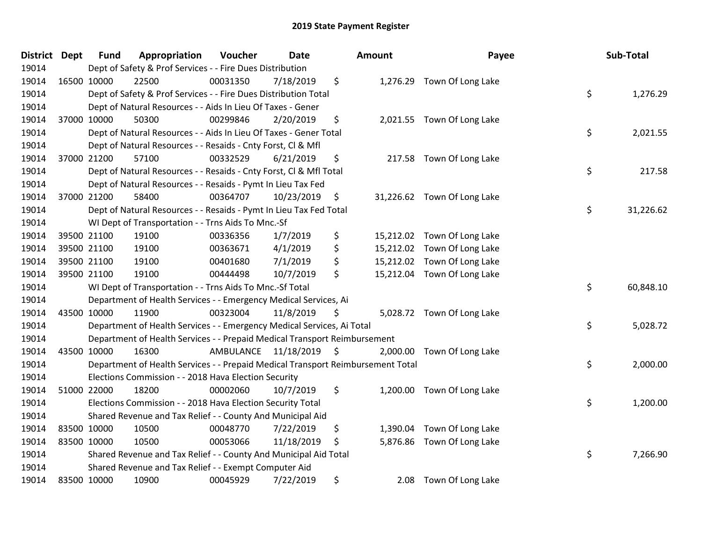| District Dept | <b>Fund</b>                                                                     | Appropriation                                                      | <b>Voucher</b>          | <b>Date</b> |               | Amount    | Payee                       |    | Sub-Total |
|---------------|---------------------------------------------------------------------------------|--------------------------------------------------------------------|-------------------------|-------------|---------------|-----------|-----------------------------|----|-----------|
| 19014         | Dept of Safety & Prof Services - - Fire Dues Distribution                       |                                                                    |                         |             |               |           |                             |    |           |
| 19014         | 16500 10000                                                                     | 22500                                                              | 00031350                | 7/18/2019   | \$            |           | 1,276.29 Town Of Long Lake  |    |           |
| 19014         | Dept of Safety & Prof Services - - Fire Dues Distribution Total                 |                                                                    |                         |             |               |           |                             |    | 1,276.29  |
| 19014         | Dept of Natural Resources - - Aids In Lieu Of Taxes - Gener                     |                                                                    |                         |             |               |           |                             |    |           |
| 19014         | 37000 10000                                                                     | 50300                                                              | 00299846                | 2/20/2019   | \$            |           | 2,021.55 Town Of Long Lake  |    |           |
| 19014         | Dept of Natural Resources - - Aids In Lieu Of Taxes - Gener Total               |                                                                    |                         |             |               |           |                             |    | 2,021.55  |
| 19014         | Dept of Natural Resources - - Resaids - Cnty Forst, Cl & Mfl                    |                                                                    |                         |             |               |           |                             |    |           |
| 19014         | 37000 21200                                                                     | 57100                                                              | 00332529                | 6/21/2019   | \$            |           | 217.58 Town Of Long Lake    |    |           |
| 19014         | Dept of Natural Resources - - Resaids - Cnty Forst, CI & Mfl Total              |                                                                    |                         |             |               |           |                             |    | 217.58    |
| 19014         |                                                                                 | Dept of Natural Resources - - Resaids - Pymt In Lieu Tax Fed       |                         |             |               |           |                             |    |           |
| 19014         | 37000 21200                                                                     | 58400                                                              | 00364707                | 10/23/2019  | $\ddot{\phi}$ |           | 31,226.62 Town Of Long Lake |    |           |
| 19014         |                                                                                 | Dept of Natural Resources - - Resaids - Pymt In Lieu Tax Fed Total |                         |             |               |           |                             | \$ | 31,226.62 |
| 19014         |                                                                                 | WI Dept of Transportation - - Trns Aids To Mnc.-Sf                 |                         |             |               |           |                             |    |           |
| 19014         | 39500 21100                                                                     | 19100                                                              | 00336356                | 1/7/2019    | \$            | 15,212.02 | Town Of Long Lake           |    |           |
| 19014         | 39500 21100                                                                     | 19100                                                              | 00363671                | 4/1/2019    | \$            |           | 15,212.02 Town Of Long Lake |    |           |
| 19014         | 39500 21100                                                                     | 19100                                                              | 00401680                | 7/1/2019    | \$            | 15,212.02 | Town Of Long Lake           |    |           |
| 19014         | 39500 21100                                                                     | 19100                                                              | 00444498                | 10/7/2019   | \$            |           | 15,212.04 Town Of Long Lake |    |           |
| 19014         |                                                                                 | WI Dept of Transportation - - Trns Aids To Mnc.-Sf Total           |                         |             |               |           |                             | \$ | 60,848.10 |
| 19014         |                                                                                 | Department of Health Services - - Emergency Medical Services, Ai   |                         |             |               |           |                             |    |           |
| 19014         | 43500 10000                                                                     | 11900                                                              | 00323004                | 11/8/2019   | S             |           | 5,028.72 Town Of Long Lake  |    |           |
| 19014         | \$<br>Department of Health Services - - Emergency Medical Services, Ai Total    |                                                                    |                         |             |               |           |                             |    | 5,028.72  |
| 19014         | Department of Health Services - - Prepaid Medical Transport Reimbursement       |                                                                    |                         |             |               |           |                             |    |           |
| 19014         | 43500 10000                                                                     | 16300                                                              | AMBULANCE 11/18/2019 \$ |             |               |           | 2,000.00 Town Of Long Lake  |    |           |
| 19014         | Department of Health Services - - Prepaid Medical Transport Reimbursement Total |                                                                    |                         |             |               |           |                             | \$ | 2,000.00  |
| 19014         | Elections Commission - - 2018 Hava Election Security                            |                                                                    |                         |             |               |           |                             |    |           |
| 19014         | 51000 22000                                                                     | 18200                                                              | 00002060                | 10/7/2019   | \$            |           | 1,200.00 Town Of Long Lake  |    |           |
| 19014         | Elections Commission - - 2018 Hava Election Security Total                      |                                                                    |                         |             |               |           |                             | \$ | 1,200.00  |
| 19014         | Shared Revenue and Tax Relief - - County And Municipal Aid                      |                                                                    |                         |             |               |           |                             |    |           |
| 19014         | 83500 10000                                                                     | 10500                                                              | 00048770                | 7/22/2019   | \$            | 1,390.04  | Town Of Long Lake           |    |           |
| 19014         | 83500 10000                                                                     | 10500                                                              | 00053066                | 11/18/2019  | \$            |           | 5,876.86 Town Of Long Lake  |    |           |
| 19014         |                                                                                 | Shared Revenue and Tax Relief - - County And Municipal Aid Total   |                         |             |               |           |                             | \$ | 7,266.90  |
| 19014         | Shared Revenue and Tax Relief - - Exempt Computer Aid                           |                                                                    |                         |             |               |           |                             |    |           |
| 19014         | 83500 10000                                                                     | 10900                                                              | 00045929                | 7/22/2019   | \$            | 2.08      | Town Of Long Lake           |    |           |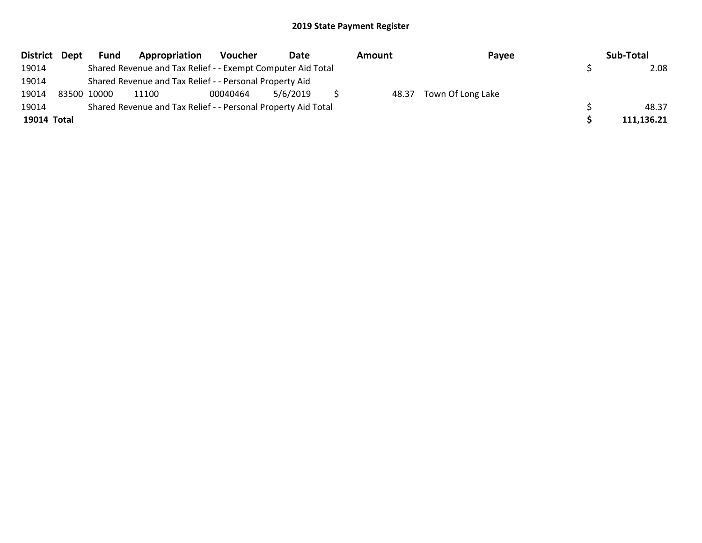| District Dept | <b>Fund</b>                                                   | Appropriation                                               | Voucher  | Date     |  | Amount | Payee                   |  | Sub-Total  |
|---------------|---------------------------------------------------------------|-------------------------------------------------------------|----------|----------|--|--------|-------------------------|--|------------|
| 19014         |                                                               | Shared Revenue and Tax Relief - - Exempt Computer Aid Total |          |          |  |        |                         |  | 2.08       |
| 19014         |                                                               | Shared Revenue and Tax Relief - - Personal Property Aid     |          |          |  |        |                         |  |            |
| 19014         | 83500 10000                                                   | 11100                                                       | 00040464 | 5/6/2019 |  |        | 48.37 Town Of Long Lake |  |            |
| 19014         | Shared Revenue and Tax Relief - - Personal Property Aid Total |                                                             |          |          |  |        |                         |  | 48.37      |
| 19014 Total   |                                                               |                                                             |          |          |  |        |                         |  | 111,136.21 |